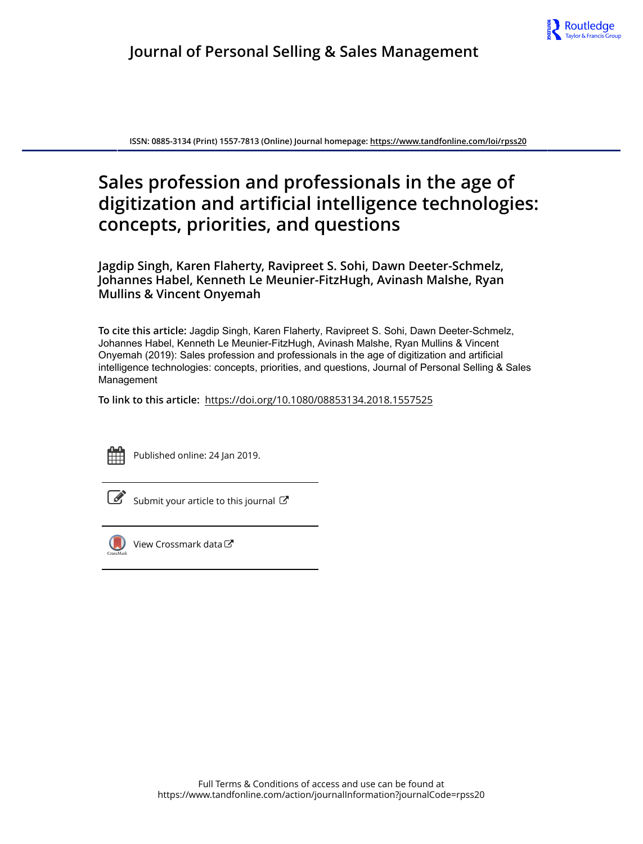

**ISSN: 0885-3134 (Print) 1557-7813 (Online) Journal homepage:<https://www.tandfonline.com/loi/rpss20>**

# **Sales profession and professionals in the age of digitization and artificial intelligence technologies: concepts, priorities, and questions**

**Jagdip Singh, Karen Flaherty, Ravipreet S. Sohi, Dawn Deeter-Schmelz, Johannes Habel, Kenneth Le Meunier-FitzHugh, Avinash Malshe, Ryan Mullins & Vincent Onyemah**

**To cite this article:** Jagdip Singh, Karen Flaherty, Ravipreet S. Sohi, Dawn Deeter-Schmelz, Johannes Habel, Kenneth Le Meunier-FitzHugh, Avinash Malshe, Ryan Mullins & Vincent Onyemah (2019): Sales profession and professionals in the age of digitization and artificial intelligence technologies: concepts, priorities, and questions, Journal of Personal Selling & Sales Management

**To link to this article:** <https://doi.org/10.1080/08853134.2018.1557525>



Published online: 24 Jan 2019.

 $\overline{\mathscr{L}}$  [Submit your article to this journal](https://www.tandfonline.com/action/authorSubmission?journalCode=rpss20&show=instructions)  $\mathbb{F}$ 



[View Crossmark data](http://crossmark.crossref.org/dialog/?doi=10.1080/08853134.2018.1557525&domain=pdf&date_stamp=2019-01-24)<sup>C</sup>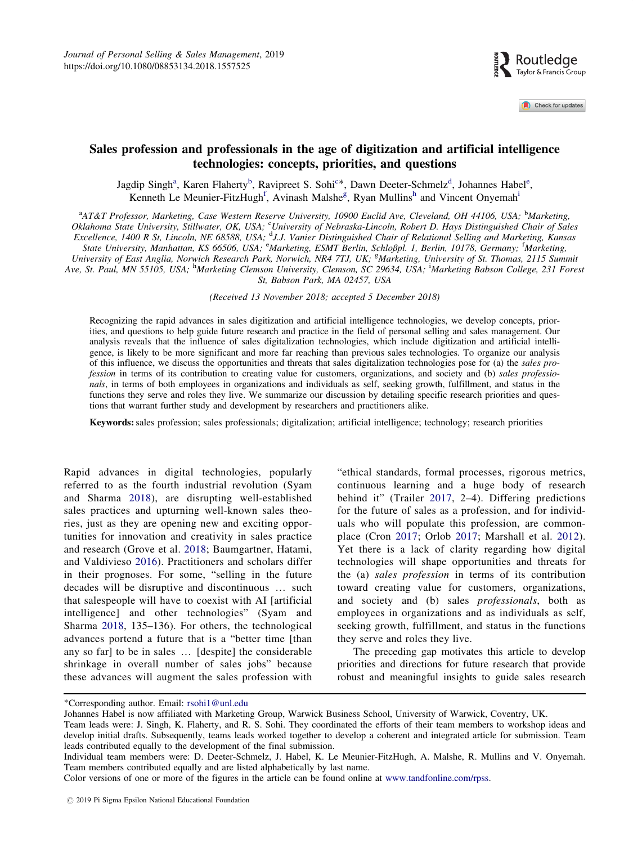

Check for updates

## <span id="page-1-0"></span>Sales profession and professionals in the age of digitization and artificial intelligence technologies: concepts, priorities, and questions

Jagdip Singh<sup>a</sup>, Karen Flaherty<sup>b</sup>, Ravipreet S. Sohi<sup>c\*</sup>, Dawn Deeter-Schmelz<sup>d</sup>, Johannes Habel<sup>e</sup>, Kenneth Le Meunier-FitzHugh<sup>f</sup>, Avinash Malshe<sup>g</sup>, Ryan Mullins<sup>h</sup> and Vincent Onyemah<sup>i</sup>

<sup>a</sup>AT&T Professor, Marketing, Case Western Reserve University, 10900 Euclid Ave, Cleveland, OH 44106, USA; <sup>b</sup>Marketing, Oklahoma State University, Stillwater, OK, USA; "University of Nebraska-Lincoln, Robert D. Hays Distinguished Chair of Sales Excellence, 1400 R St, Lincoln, NE 68588, USA; <sup>d</sup>J.J. Vanier Distinguished Chair of Relational Selling and Marketing, Kansas State University, Manhattan, KS 66506, USA; <sup>e</sup>Marketing, ESMT Berlin, Schloßpl. 1, Berlin, 10178, Germany; <sup>f</sup>Marketing, University of East Anglia, Norwich Research Park, Norwich, NR4 7TJ, UK; <sup>g</sup>Marketing, University of St. Thomas, 2115 Summit Ave, St. Paul, MN 55105, USA; <sup>h</sup>Marketing Clemson University, Clemson, SC 29634, USA; <sup>i</sup>Marketing Babson College, 231 Forest St, Babson Park, MA 02457, USA

(Received 13 November 2018; accepted 5 December 2018)

Recognizing the rapid advances in sales digitization and artificial intelligence technologies, we develop concepts, priorities, and questions to help guide future research and practice in the field of personal selling and sales management. Our analysis reveals that the influence of sales digitalization technologies, which include digitization and artificial intelligence, is likely to be more significant and more far reaching than previous sales technologies. To organize our analysis of this influence, we discuss the opportunities and threats that sales digitalization technologies pose for (a) the sales profession in terms of its contribution to creating value for customers, organizations, and society and (b) sales professionals, in terms of both employees in organizations and individuals as self, seeking growth, fulfillment, and status in the functions they serve and roles they live. We summarize our discussion by detailing specific research priorities and questions that warrant further study and development by researchers and practitioners alike.

Keywords: sales profession; sales professionals; digitalization; artificial intelligence; technology; research priorities

Rapid advances in digital technologies, popularly referred to as the fourth industrial revolution (Syam and Sharma [2018\)](#page-21-0), are disrupting well-established sales practices and upturning well-known sales theories, just as they are opening new and exciting opportunities for innovation and creativity in sales practice and research (Grove et al. [2018;](#page-18-0) Baumgartner, Hatami, and Valdivieso [2016\)](#page-18-0). Practitioners and scholars differ in their prognoses. For some, "selling in the future decades will be disruptive and discontinuous … such that salespeople will have to coexist with AI [artificial intelligence] and other technologies" (Syam and Sharma [2018](#page-21-0), 135–136). For others, the technological advances portend a future that is a "better time [than any so far] to be in sales … [despite] the considerable shrinkage in overall number of sales jobs" because these advances will augment the sales profession with "ethical standards, formal processes, rigorous metrics, continuous learning and a huge body of research behind it" (Trailer [2017](#page-21-0), 2–4). Differing predictions for the future of sales as a profession, and for individuals who will populate this profession, are commonplace (Cron [2017;](#page-18-0) Orlob [2017](#page-20-0); Marshall et al. [2012](#page-19-0)). Yet there is a lack of clarity regarding how digital technologies will shape opportunities and threats for the (a) sales profession in terms of its contribution toward creating value for customers, organizations, and society and (b) sales professionals, both as employees in organizations and as individuals as self, seeking growth, fulfillment, and status in the functions they serve and roles they live.

The preceding gap motivates this article to develop priorities and directions for future research that provide robust and meaningful insights to guide sales research

Corresponding author. Email: rsohi1@unl.edu

Johannes Habel is now affiliated with Marketing Group, Warwick Business School, University of Warwick, Coventry, UK.

Team leads were: J. Singh, K. Flaherty, and R. S. Sohi. They coordinated the efforts of their team members to workshop ideas and develop initial drafts. Subsequently, teams leads worked together to develop a coherent and integrated article for submission. Team leads contributed equally to the development of the final submission.

Individual team members were: D. Deeter-Schmelz, J. Habel, K. Le Meunier-FitzHugh, A. Malshe, R. Mullins and V. Onyemah. Team members contributed equally and are listed alphabetically by last name.

Color versions of one or more of the figures in the article can be found online at [www.tandfonline.com/rpss.](http://www.tandfonline.com/rpss)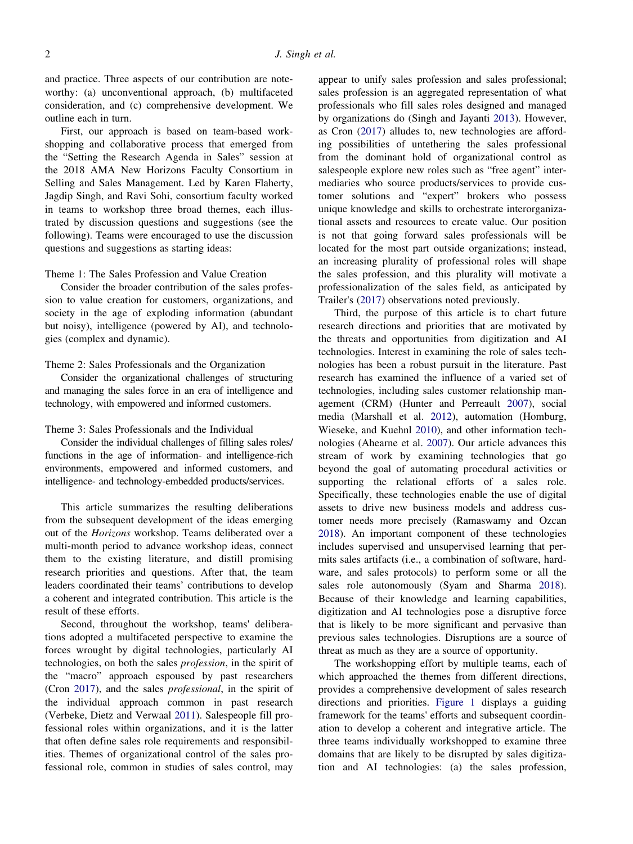<span id="page-2-0"></span>and practice. Three aspects of our contribution are noteworthy: (a) unconventional approach, (b) multifaceted consideration, and (c) comprehensive development. We outline each in turn.

First, our approach is based on team-based workshopping and collaborative process that emerged from the "Setting the Research Agenda in Sales" session at the 2018 AMA New Horizons Faculty Consortium in Selling and Sales Management. Led by Karen Flaherty, Jagdip Singh, and Ravi Sohi, consortium faculty worked in teams to workshop three broad themes, each illustrated by discussion questions and suggestions (see the following). Teams were encouraged to use the discussion questions and suggestions as starting ideas:

### Theme 1: The Sales Profession and Value Creation

Consider the broader contribution of the sales profession to value creation for customers, organizations, and society in the age of exploding information (abundant but noisy), intelligence (powered by AI), and technologies (complex and dynamic).

#### Theme 2: Sales Professionals and the Organization

Consider the organizational challenges of structuring and managing the sales force in an era of intelligence and technology, with empowered and informed customers.

#### Theme 3: Sales Professionals and the Individual

Consider the individual challenges of filling sales roles/ functions in the age of information- and intelligence-rich environments, empowered and informed customers, and intelligence- and technology-embedded products/services.

This article summarizes the resulting deliberations from the subsequent development of the ideas emerging out of the Horizons workshop. Teams deliberated over a multi-month period to advance workshop ideas, connect them to the existing literature, and distill promising research priorities and questions. After that, the team leaders coordinated their teams' contributions to develop a coherent and integrated contribution. This article is the result of these efforts.

Second, throughout the workshop, teams' deliberations adopted a multifaceted perspective to examine the forces wrought by digital technologies, particularly AI technologies, on both the sales profession, in the spirit of the "macro" approach espoused by past researchers (Cron [2017\)](#page-18-0), and the sales professional, in the spirit of the individual approach common in past research (Verbeke, Dietz and Verwaal [2011\)](#page-21-0). Salespeople fill professional roles within organizations, and it is the latter that often define sales role requirements and responsibilities. Themes of organizational control of the sales professional role, common in studies of sales control, may appear to unify sales profession and sales professional; sales profession is an aggregated representation of what professionals who fill sales roles designed and managed by organizations do (Singh and Jayanti [2013](#page-20-0)). However, as Cron [\(2017](#page-18-0)) alludes to, new technologies are affording possibilities of untethering the sales professional from the dominant hold of organizational control as salespeople explore new roles such as "free agent" intermediaries who source products/services to provide customer solutions and "expert" brokers who possess unique knowledge and skills to orchestrate interorganizational assets and resources to create value. Our position is not that going forward sales professionals will be located for the most part outside organizations; instead, an increasing plurality of professional roles will shape the sales profession, and this plurality will motivate a professionalization of the sales field, as anticipated by Trailer's ([2017](#page-21-0)) observations noted previously.

Third, the purpose of this article is to chart future research directions and priorities that are motivated by the threats and opportunities from digitization and AI technologies. Interest in examining the role of sales technologies has been a robust pursuit in the literature. Past research has examined the influence of a varied set of technologies, including sales customer relationship management (CRM) (Hunter and Perreault [2007\)](#page-19-0), social media (Marshall et al. [2012](#page-19-0)), automation (Homburg, Wieseke, and Kuehnl [2010\)](#page-18-0), and other information technologies (Ahearne et al. [2007](#page-17-0)). Our article advances this stream of work by examining technologies that go beyond the goal of automating procedural activities or supporting the relational efforts of a sales role. Specifically, these technologies enable the use of digital assets to drive new business models and address customer needs more precisely (Ramaswamy and Ozcan [2018\)](#page-20-0). An important component of these technologies includes supervised and unsupervised learning that permits sales artifacts (i.e., a combination of software, hardware, and sales protocols) to perform some or all the sales role autonomously (Syam and Sharma [2018\)](#page-21-0). Because of their knowledge and learning capabilities, digitization and AI technologies pose a disruptive force that is likely to be more significant and pervasive than previous sales technologies. Disruptions are a source of threat as much as they are a source of opportunity.

The workshopping effort by multiple teams, each of which approached the themes from different directions, provides a comprehensive development of sales research directions and priorities. [Figure 1](#page-3-0) displays a guiding framework for the teams' efforts and subsequent coordination to develop a coherent and integrative article. The three teams individually workshopped to examine three domains that are likely to be disrupted by sales digitization and AI technologies: (a) the sales profession,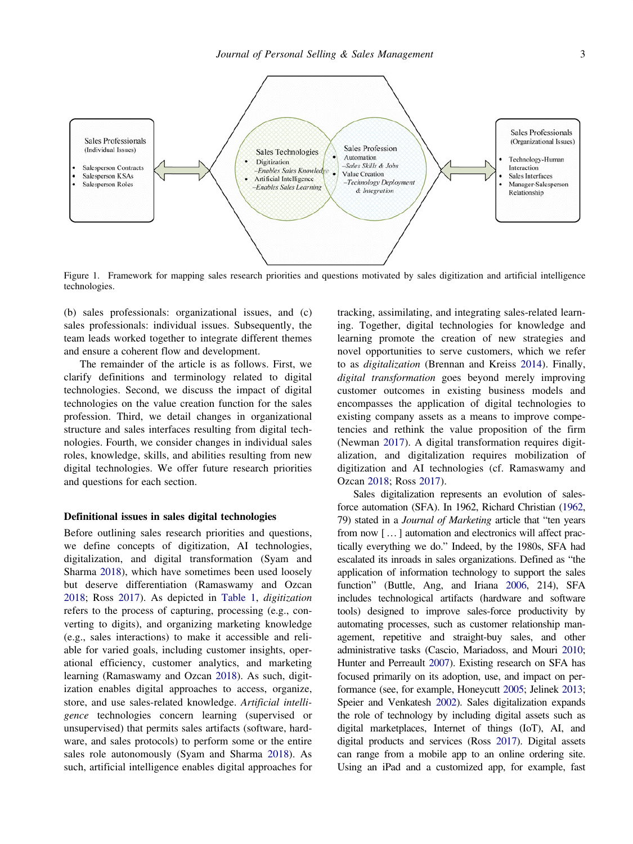<span id="page-3-0"></span>

Figure 1. Framework for mapping sales research priorities and questions motivated by sales digitization and artificial intelligence technologies.

(b) sales professionals: organizational issues, and (c) sales professionals: individual issues. Subsequently, the team leads worked together to integrate different themes and ensure a coherent flow and development.

The remainder of the article is as follows. First, we clarify definitions and terminology related to digital technologies. Second, we discuss the impact of digital technologies on the value creation function for the sales profession. Third, we detail changes in organizational structure and sales interfaces resulting from digital technologies. Fourth, we consider changes in individual sales roles, knowledge, skills, and abilities resulting from new digital technologies. We offer future research priorities and questions for each section.

#### Definitional issues in sales digital technologies

Before outlining sales research priorities and questions, we define concepts of digitization, AI technologies, digitalization, and digital transformation (Syam and Sharma [2018\)](#page-21-0), which have sometimes been used loosely but deserve differentiation (Ramaswamy and Ozcan [2018;](#page-20-0) Ross [2017](#page-20-0)). As depicted in Table 1, digitization refers to the process of capturing, processing (e.g., converting to digits), and organizing marketing knowledge (e.g., sales interactions) to make it accessible and reliable for varied goals, including customer insights, operational efficiency, customer analytics, and marketing learning (Ramaswamy and Ozcan [2018](#page-20-0)). As such, digitization enables digital approaches to access, organize, store, and use sales-related knowledge. Artificial intelligence technologies concern learning (supervised or unsupervised) that permits sales artifacts (software, hardware, and sales protocols) to perform some or the entire sales role autonomously (Syam and Sharma [2018](#page-21-0)). As such, artificial intelligence enables digital approaches for tracking, assimilating, and integrating sales-related learning. Together, digital technologies for knowledge and learning promote the creation of new strategies and novel opportunities to serve customers, which we refer to as digitalization (Brennan and Kreiss [2014\)](#page-18-0). Finally, digital transformation goes beyond merely improving customer outcomes in existing business models and encompasses the application of digital technologies to existing company assets as a means to improve competencies and rethink the value proposition of the firm (Newman [2017\)](#page-20-0). A digital transformation requires digitalization, and digitalization requires mobilization of digitization and AI technologies (cf. Ramaswamy and Ozcan [2018](#page-20-0); Ross [2017](#page-20-0)).

Sales digitalization represents an evolution of salesforce automation (SFA). In 1962, Richard Christian ([1962,](#page-18-0) 79) stated in a Journal of Marketing article that "ten years from now […] automation and electronics will affect practically everything we do." Indeed, by the 1980s, SFA had escalated its inroads in sales organizations. Defined as "the application of information technology to support the sales function" (Buttle, Ang, and Iriana [2006](#page-18-0), 214), SFA includes technological artifacts (hardware and software tools) designed to improve sales-force productivity by automating processes, such as customer relationship management, repetitive and straight-buy sales, and other administrative tasks (Cascio, Mariadoss, and Mouri [2010;](#page-18-0) Hunter and Perreault [2007\)](#page-19-0). Existing research on SFA has focused primarily on its adoption, use, and impact on performance (see, for example, Honeycutt [2005;](#page-19-0) Jelinek [2013;](#page-19-0) Speier and Venkatesh [2002](#page-21-0)). Sales digitalization expands the role of technology by including digital assets such as digital marketplaces, Internet of things (IoT), AI, and digital products and services (Ross [2017\)](#page-20-0). Digital assets can range from a mobile app to an online ordering site. Using an iPad and a customized app, for example, fast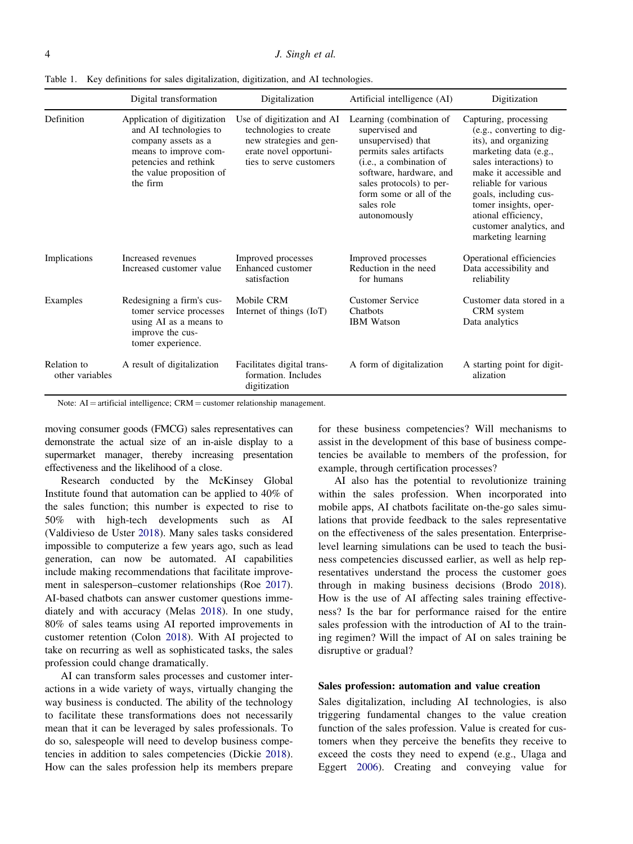|                                | Digital transformation                                                                                                                                                 | Digitalization                                                                                                                       | Artificial intelligence (AI)                                                                                                                                                                                                           | Digitization                                                                                                                                                                                                                                                                                              |
|--------------------------------|------------------------------------------------------------------------------------------------------------------------------------------------------------------------|--------------------------------------------------------------------------------------------------------------------------------------|----------------------------------------------------------------------------------------------------------------------------------------------------------------------------------------------------------------------------------------|-----------------------------------------------------------------------------------------------------------------------------------------------------------------------------------------------------------------------------------------------------------------------------------------------------------|
| Definition                     | Application of digitization<br>and AI technologies to<br>company assets as a<br>means to improve com-<br>petencies and rethink<br>the value proposition of<br>the firm | Use of digitization and AI<br>technologies to create<br>new strategies and gen-<br>erate novel opportuni-<br>ties to serve customers | Learning (combination of<br>supervised and<br>unsupervised) that<br>permits sales artifacts<br>(i.e., a combination of<br>software, hardware, and<br>sales protocols) to per-<br>form some or all of the<br>sales role<br>autonomously | Capturing, processing<br>(e.g., converting to dig-<br>its), and organizing<br>marketing data (e.g.,<br>sales interactions) to<br>make it accessible and<br>reliable for various<br>goals, including cus-<br>tomer insights, oper-<br>ational efficiency,<br>customer analytics, and<br>marketing learning |
| Implications                   | Increased revenues<br>Increased customer value                                                                                                                         | Improved processes<br>Enhanced customer<br>satisfaction                                                                              | Improved processes<br>Reduction in the need<br>for humans                                                                                                                                                                              | Operational efficiencies<br>Data accessibility and<br>reliability                                                                                                                                                                                                                                         |
| Examples                       | Redesigning a firm's cus-<br>tomer service processes<br>using AI as a means to<br>improve the cus-<br>tomer experience.                                                | Mobile CRM<br>Internet of things (IoT)                                                                                               | <b>Customer Service</b><br>Chathots<br><b>IBM</b> Watson                                                                                                                                                                               | Customer data stored in a<br>CRM system<br>Data analytics                                                                                                                                                                                                                                                 |
| Relation to<br>other variables | A result of digitalization                                                                                                                                             | Facilitates digital trans-<br>formation. Includes<br>digitization                                                                    | A form of digitalization                                                                                                                                                                                                               | A starting point for digit-<br>alization                                                                                                                                                                                                                                                                  |

<span id="page-4-0"></span>Table 1. Key definitions for sales digitalization, digitization, and AI technologies.

Note:  $AI =$  artificial intelligence;  $CRM =$  customer relationship management.

moving consumer goods (FMCG) sales representatives can demonstrate the actual size of an in-aisle display to a supermarket manager, thereby increasing presentation effectiveness and the likelihood of a close.

Research conducted by the McKinsey Global Institute found that automation can be applied to 40% of the sales function; this number is expected to rise to 50% with high-tech developments such as AI (Valdivieso de Uster [2018\)](#page-21-0). Many sales tasks considered impossible to computerize a few years ago, such as lead generation, can now be automated. AI capabilities include making recommendations that facilitate improvement in salesperson–customer relationships (Roe [2017](#page-20-0)). AI-based chatbots can answer customer questions immediately and with accuracy (Melas [2018](#page-20-0)). In one study, 80% of sales teams using AI reported improvements in customer retention (Colon [2018\)](#page-18-0). With AI projected to take on recurring as well as sophisticated tasks, the sales profession could change dramatically.

AI can transform sales processes and customer interactions in a wide variety of ways, virtually changing the way business is conducted. The ability of the technology to facilitate these transformations does not necessarily mean that it can be leveraged by sales professionals. To do so, salespeople will need to develop business competencies in addition to sales competencies (Dickie [2018](#page-18-0)). How can the sales profession help its members prepare for these business competencies? Will mechanisms to assist in the development of this base of business competencies be available to members of the profession, for example, through certification processes?

AI also has the potential to revolutionize training within the sales profession. When incorporated into mobile apps, AI chatbots facilitate on-the-go sales simulations that provide feedback to the sales representative on the effectiveness of the sales presentation. Enterpriselevel learning simulations can be used to teach the business competencies discussed earlier, as well as help representatives understand the process the customer goes through in making business decisions (Brodo [2018\)](#page-18-0). How is the use of AI affecting sales training effectiveness? Is the bar for performance raised for the entire sales profession with the introduction of AI to the training regimen? Will the impact of AI on sales training be disruptive or gradual?

## Sales profession: automation and value creation

Sales digitalization, including AI technologies, is also triggering fundamental changes to the value creation function of the sales profession. Value is created for customers when they perceive the benefits they receive to exceed the costs they need to expend (e.g., Ulaga and Eggert [2006\)](#page-21-0). Creating and conveying value for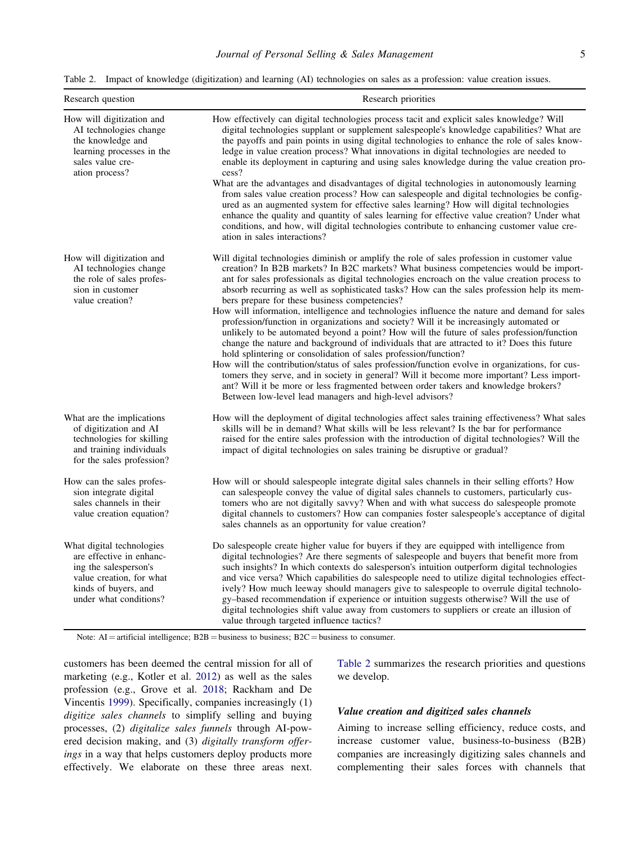<span id="page-5-0"></span>Table 2. Impact of knowledge (digitization) and learning (AI) technologies on sales as a profession: value creation issues.

| Research question                                                                                                                                            | Research priorities                                                                                                                                                                                                                                                                                                                                                                                                                                                                                                                                                                                                                                                                                                                                                                                                                                                                                                                                                                                                                                                                                                                                                                                                                                |
|--------------------------------------------------------------------------------------------------------------------------------------------------------------|----------------------------------------------------------------------------------------------------------------------------------------------------------------------------------------------------------------------------------------------------------------------------------------------------------------------------------------------------------------------------------------------------------------------------------------------------------------------------------------------------------------------------------------------------------------------------------------------------------------------------------------------------------------------------------------------------------------------------------------------------------------------------------------------------------------------------------------------------------------------------------------------------------------------------------------------------------------------------------------------------------------------------------------------------------------------------------------------------------------------------------------------------------------------------------------------------------------------------------------------------|
| How will digitization and<br>AI technologies change<br>the knowledge and<br>learning processes in the<br>sales value cre-<br>ation process?                  | How effectively can digital technologies process tacit and explicit sales knowledge? Will<br>digital technologies supplant or supplement salespeople's knowledge capabilities? What are<br>the payoffs and pain points in using digital technologies to enhance the role of sales know-<br>ledge in value creation process? What innovations in digital technologies are needed to<br>enable its deployment in capturing and using sales knowledge during the value creation pro-<br>cess?<br>What are the advantages and disadvantages of digital technologies in autonomously learning<br>from sales value creation process? How can salespeople and digital technologies be config-<br>ured as an augmented system for effective sales learning? How will digital technologies<br>enhance the quality and quantity of sales learning for effective value creation? Under what<br>conditions, and how, will digital technologies contribute to enhancing customer value cre-<br>ation in sales interactions?                                                                                                                                                                                                                                     |
| How will digitization and<br>AI technologies change<br>the role of sales profes-<br>sion in customer<br>value creation?                                      | Will digital technologies diminish or amplify the role of sales profession in customer value<br>creation? In B2B markets? In B2C markets? What business competencies would be import-<br>ant for sales professionals as digital technologies encroach on the value creation process to<br>absorb recurring as well as sophisticated tasks? How can the sales profession help its mem-<br>bers prepare for these business competencies?<br>How will information, intelligence and technologies influence the nature and demand for sales<br>profession/function in organizations and society? Will it be increasingly automated or<br>unlikely to be automated beyond a point? How will the future of sales profession/function<br>change the nature and background of individuals that are attracted to it? Does this future<br>hold splintering or consolidation of sales profession/function?<br>How will the contribution/status of sales profession/function evolve in organizations, for cus-<br>tomers they serve, and in society in general? Will it become more important? Less import-<br>ant? Will it be more or less fragmented between order takers and knowledge brokers?<br>Between low-level lead managers and high-level advisors? |
| What are the implications<br>of digitization and AI<br>technologies for skilling<br>and training individuals<br>for the sales profession?                    | How will the deployment of digital technologies affect sales training effectiveness? What sales<br>skills will be in demand? What skills will be less relevant? Is the bar for performance<br>raised for the entire sales profession with the introduction of digital technologies? Will the<br>impact of digital technologies on sales training be disruptive or gradual?                                                                                                                                                                                                                                                                                                                                                                                                                                                                                                                                                                                                                                                                                                                                                                                                                                                                         |
| How can the sales profes-<br>sion integrate digital<br>sales channels in their<br>value creation equation?                                                   | How will or should salespeople integrate digital sales channels in their selling efforts? How<br>can salespeople convey the value of digital sales channels to customers, particularly cus-<br>tomers who are not digitally savvy? When and with what success do salespeople promote<br>digital channels to customers? How can companies foster salespeople's acceptance of digital<br>sales channels as an opportunity for value creation?                                                                                                                                                                                                                                                                                                                                                                                                                                                                                                                                                                                                                                                                                                                                                                                                        |
| What digital technologies<br>are effective in enhanc-<br>ing the salesperson's<br>value creation, for what<br>kinds of buyers, and<br>under what conditions? | Do salespeople create higher value for buyers if they are equipped with intelligence from<br>digital technologies? Are there segments of salespeople and buyers that benefit more from<br>such insights? In which contexts do salesperson's intuition outperform digital technologies<br>and vice versa? Which capabilities do salespeople need to utilize digital technologies effect-<br>ively? How much leeway should managers give to salespeople to overrule digital technolo-<br>gy-based recommendation if experience or intuition suggests otherwise? Will the use of<br>digital technologies shift value away from customers to suppliers or create an illusion of<br>value through targeted influence tactics?                                                                                                                                                                                                                                                                                                                                                                                                                                                                                                                           |

Note:  $AI =$  artificial intelligence;  $B2B =$  business to business;  $B2C =$  business to consumer.

customers has been deemed the central mission for all of marketing (e.g., Kotler et al. [2012\)](#page-19-0) as well as the sales profession (e.g., Grove et al. [2018](#page-18-0); Rackham and De Vincentis [1999](#page-20-0)). Specifically, companies increasingly (1) digitize sales channels to simplify selling and buying processes, (2) digitalize sales funnels through AI-powered decision making, and (3) digitally transform offerings in a way that helps customers deploy products more effectively. We elaborate on these three areas next. Table 2 summarizes the research priorities and questions we develop.

## Value creation and digitized sales channels

Aiming to increase selling efficiency, reduce costs, and increase customer value, business-to-business (B2B) companies are increasingly digitizing sales channels and complementing their sales forces with channels that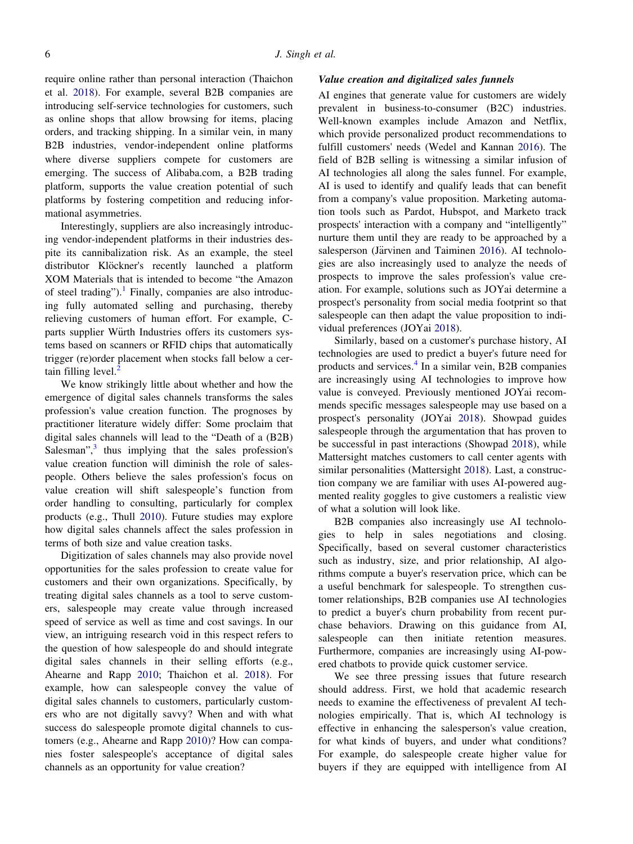<span id="page-6-0"></span>require online rather than personal interaction (Thaichon et al. [2018\)](#page-21-0). For example, several B2B companies are introducing self-service technologies for customers, such as online shops that allow browsing for items, placing orders, and tracking shipping. In a similar vein, in many B2B industries, vendor-independent online platforms where diverse suppliers compete for customers are emerging. The success of Alibaba.com, a B2B trading platform, supports the value creation potential of such platforms by fostering competition and reducing informational asymmetries.

Interestingly, suppliers are also increasingly introducing vendor-independent platforms in their industries despite its cannibalization risk. As an example, the steel distributor Klöckner's recently launched a platform XOM Materials that is intended to become "the Amazon of steel trading").<sup>[1](#page-17-0)</sup> Finally, companies are also introducing fully automated selling and purchasing, thereby relieving customers of human effort. For example, Cparts supplier Würth Industries offers its customers systems based on scanners or RFID chips that automatically trigger (re)order placement when stocks fall below a certain filling level. $<sup>2</sup>$ </sup>

We know strikingly little about whether and how the emergence of digital sales channels transforms the sales profession's value creation function. The prognoses by practitioner literature widely differ: Some proclaim that digital sales channels will lead to the "Death of a (B2B) Salesman",<sup>[3](#page-17-0)</sup> thus implying that the sales profession's value creation function will diminish the role of salespeople. Others believe the sales profession's focus on value creation will shift salespeople's function from order handling to consulting, particularly for complex products (e.g., Thull [2010](#page-21-0)). Future studies may explore how digital sales channels affect the sales profession in terms of both size and value creation tasks.

Digitization of sales channels may also provide novel opportunities for the sales profession to create value for customers and their own organizations. Specifically, by treating digital sales channels as a tool to serve customers, salespeople may create value through increased speed of service as well as time and cost savings. In our view, an intriguing research void in this respect refers to the question of how salespeople do and should integrate digital sales channels in their selling efforts (e.g., Ahearne and Rapp [2010;](#page-17-0) Thaichon et al. [2018](#page-21-0)). For example, how can salespeople convey the value of digital sales channels to customers, particularly customers who are not digitally savvy? When and with what success do salespeople promote digital channels to customers (e.g., Ahearne and Rapp [2010\)](#page-17-0)? How can companies foster salespeople's acceptance of digital sales channels as an opportunity for value creation?

## Value creation and digitalized sales funnels

AI engines that generate value for customers are widely prevalent in business-to-consumer (B2C) industries. Well-known examples include Amazon and Netflix, which provide personalized product recommendations to fulfill customers' needs (Wedel and Kannan [2016](#page-21-0)). The field of B2B selling is witnessing a similar infusion of AI technologies all along the sales funnel. For example, AI is used to identify and qualify leads that can benefit from a company's value proposition. Marketing automation tools such as Pardot, Hubspot, and Marketo track prospects' interaction with a company and "intelligently" nurture them until they are ready to be approached by a salesperson (Järvinen and Taiminen [2016\)](#page-19-0). AI technologies are also increasingly used to analyze the needs of prospects to improve the sales profession's value creation. For example, solutions such as JOYai determine a prospect's personality from social media footprint so that salespeople can then adapt the value proposition to individual preferences (JOYai [2018\)](#page-19-0).

Similarly, based on a customer's purchase history, AI technologies are used to predict a buyer's future need for products and services[.4](#page-17-0) In a similar vein, B2B companies are increasingly using AI technologies to improve how value is conveyed. Previously mentioned JOYai recommends specific messages salespeople may use based on a prospect's personality (JOYai [2018](#page-19-0)). Showpad guides salespeople through the argumentation that has proven to be successful in past interactions (Showpad [2018](#page-20-0)), while Mattersight matches customers to call center agents with similar personalities (Mattersight [2018](#page-20-0)). Last, a construction company we are familiar with uses AI-powered augmented reality goggles to give customers a realistic view of what a solution will look like.

B2B companies also increasingly use AI technologies to help in sales negotiations and closing. Specifically, based on several customer characteristics such as industry, size, and prior relationship, AI algorithms compute a buyer's reservation price, which can be a useful benchmark for salespeople. To strengthen customer relationships, B2B companies use AI technologies to predict a buyer's churn probability from recent purchase behaviors. Drawing on this guidance from AI, salespeople can then initiate retention measures. Furthermore, companies are increasingly using AI-powered chatbots to provide quick customer service.

We see three pressing issues that future research should address. First, we hold that academic research needs to examine the effectiveness of prevalent AI technologies empirically. That is, which AI technology is effective in enhancing the salesperson's value creation, for what kinds of buyers, and under what conditions? For example, do salespeople create higher value for buyers if they are equipped with intelligence from AI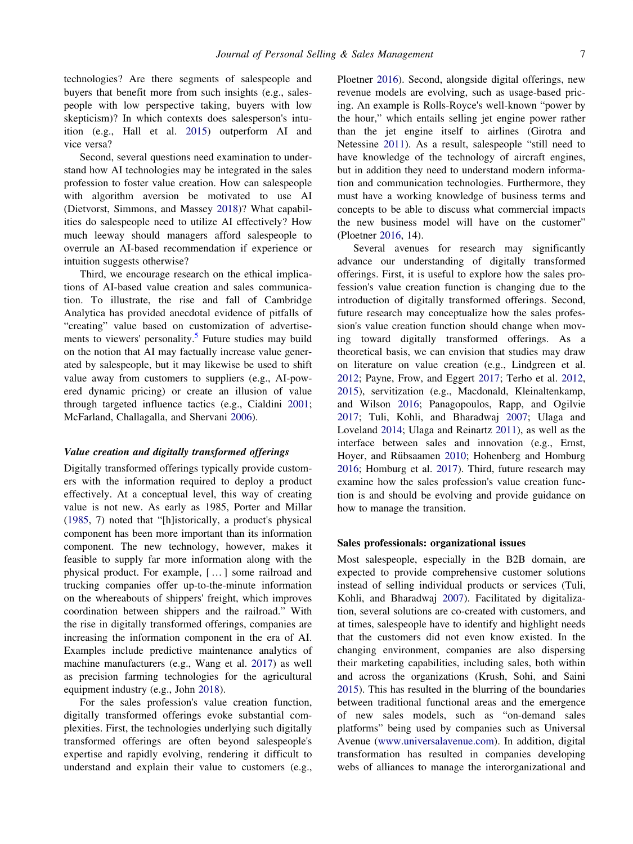<span id="page-7-0"></span>technologies? Are there segments of salespeople and buyers that benefit more from such insights (e.g., salespeople with low perspective taking, buyers with low skepticism)? In which contexts does salesperson's intuition (e.g., Hall et al. [2015](#page-18-0)) outperform AI and vice versa?

Second, several questions need examination to understand how AI technologies may be integrated in the sales profession to foster value creation. How can salespeople with algorithm aversion be motivated to use AI (Dietvorst, Simmons, and Massey [2018\)](#page-18-0)? What capabilities do salespeople need to utilize AI effectively? How much leeway should managers afford salespeople to overrule an AI-based recommendation if experience or intuition suggests otherwise?

Third, we encourage research on the ethical implications of AI-based value creation and sales communication. To illustrate, the rise and fall of Cambridge Analytica has provided anecdotal evidence of pitfalls of "creating" value based on customization of advertise-ments to viewers' personality.<sup>[5](#page-17-0)</sup> Future studies may build on the notion that AI may factually increase value generated by salespeople, but it may likewise be used to shift value away from customers to suppliers (e.g., AI-powered dynamic pricing) or create an illusion of value through targeted influence tactics (e.g., Cialdini [2001](#page-18-0); McFarland, Challagalla, and Shervani [2006](#page-20-0)).

## Value creation and digitally transformed offerings

Digitally transformed offerings typically provide customers with the information required to deploy a product effectively. At a conceptual level, this way of creating value is not new. As early as 1985, Porter and Millar [\(1985](#page-20-0), 7) noted that "[h]istorically, a product's physical component has been more important than its information component. The new technology, however, makes it feasible to supply far more information along with the physical product. For example, [… ] some railroad and trucking companies offer up-to-the-minute information on the whereabouts of shippers' freight, which improves coordination between shippers and the railroad." With the rise in digitally transformed offerings, companies are increasing the information component in the era of AI. Examples include predictive maintenance analytics of machine manufacturers (e.g., Wang et al. [2017\)](#page-21-0) as well as precision farming technologies for the agricultural equipment industry (e.g., John [2018](#page-19-0)).

For the sales profession's value creation function, digitally transformed offerings evoke substantial complexities. First, the technologies underlying such digitally transformed offerings are often beyond salespeople's expertise and rapidly evolving, rendering it difficult to understand and explain their value to customers (e.g., Ploetner [2016\)](#page-20-0). Second, alongside digital offerings, new revenue models are evolving, such as usage-based pricing. An example is Rolls-Royce's well-known "power by the hour," which entails selling jet engine power rather than the jet engine itself to airlines (Girotra and Netessine [2011\)](#page-18-0). As a result, salespeople "still need to have knowledge of the technology of aircraft engines, but in addition they need to understand modern information and communication technologies. Furthermore, they must have a working knowledge of business terms and concepts to be able to discuss what commercial impacts the new business model will have on the customer" (Ploetner [2016](#page-20-0), 14).

Several avenues for research may significantly advance our understanding of digitally transformed offerings. First, it is useful to explore how the sales profession's value creation function is changing due to the introduction of digitally transformed offerings. Second, future research may conceptualize how the sales profession's value creation function should change when moving toward digitally transformed offerings. As a theoretical basis, we can envision that studies may draw on literature on value creation (e.g., Lindgreen et al. [2012;](#page-19-0) Payne, Frow, and Eggert [2017](#page-20-0); Terho et al. [2012,](#page-21-0) [2015\)](#page-21-0), servitization (e.g., Macdonald, Kleinaltenkamp, and Wilson [2016](#page-19-0); Panagopoulos, Rapp, and Ogilvie [2017;](#page-20-0) Tuli, Kohli, and Bharadwaj [2007](#page-21-0); Ulaga and Loveland [2014;](#page-21-0) Ulaga and Reinartz [2011](#page-21-0)), as well as the interface between sales and innovation (e.g., Ernst, Hoyer, and Rübsaamen [2010](#page-18-0); Hohenberg and Homburg [2016;](#page-18-0) Homburg et al. [2017\)](#page-18-0). Third, future research may examine how the sales profession's value creation function is and should be evolving and provide guidance on how to manage the transition.

#### Sales professionals: organizational issues

Most salespeople, especially in the B2B domain, are expected to provide comprehensive customer solutions instead of selling individual products or services (Tuli, Kohli, and Bharadwaj [2007](#page-21-0)). Facilitated by digitalization, several solutions are co-created with customers, and at times, salespeople have to identify and highlight needs that the customers did not even know existed. In the changing environment, companies are also dispersing their marketing capabilities, including sales, both within and across the organizations (Krush, Sohi, and Saini [2015\)](#page-19-0). This has resulted in the blurring of the boundaries between traditional functional areas and the emergence of new sales models, such as "on-demand sales platforms" being used by companies such as Universal Avenue ([www.universalavenue.com\)](http://www.universalavenue.com). In addition, digital transformation has resulted in companies developing webs of alliances to manage the interorganizational and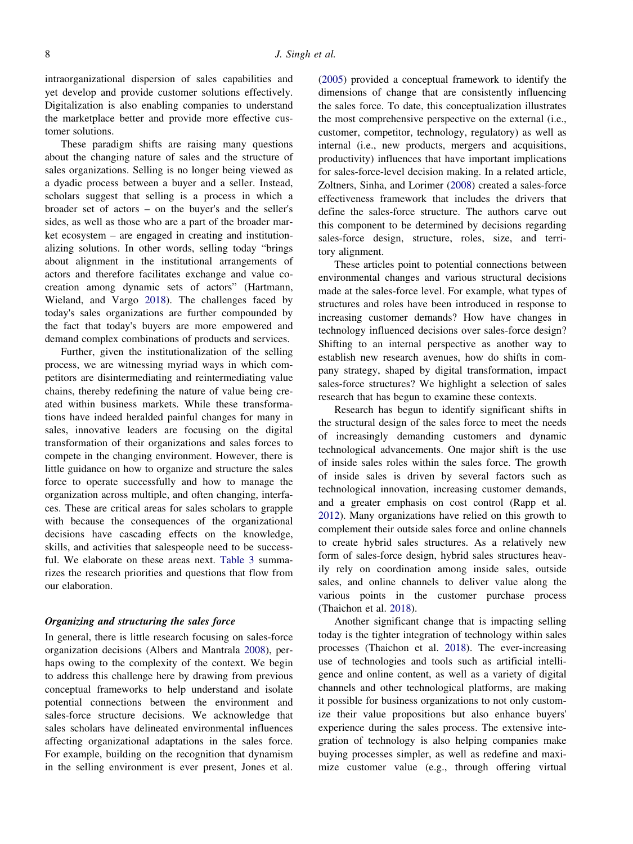<span id="page-8-0"></span>intraorganizational dispersion of sales capabilities and yet develop and provide customer solutions effectively. Digitalization is also enabling companies to understand the marketplace better and provide more effective customer solutions.

These paradigm shifts are raising many questions about the changing nature of sales and the structure of sales organizations. Selling is no longer being viewed as a dyadic process between a buyer and a seller. Instead, scholars suggest that selling is a process in which a broader set of actors – on the buyer's and the seller's sides, as well as those who are a part of the broader market ecosystem – are engaged in creating and institutionalizing solutions. In other words, selling today "brings about alignment in the institutional arrangements of actors and therefore facilitates exchange and value cocreation among dynamic sets of actors" (Hartmann, Wieland, and Vargo [2018\)](#page-18-0). The challenges faced by today's sales organizations are further compounded by the fact that today's buyers are more empowered and demand complex combinations of products and services.

Further, given the institutionalization of the selling process, we are witnessing myriad ways in which competitors are disintermediating and reintermediating value chains, thereby redefining the nature of value being created within business markets. While these transformations have indeed heralded painful changes for many in sales, innovative leaders are focusing on the digital transformation of their organizations and sales forces to compete in the changing environment. However, there is little guidance on how to organize and structure the sales force to operate successfully and how to manage the organization across multiple, and often changing, interfaces. These are critical areas for sales scholars to grapple with because the consequences of the organizational decisions have cascading effects on the knowledge, skills, and activities that salespeople need to be successful. We elaborate on these areas next. Table 3 summarizes the research priorities and questions that flow from our elaboration.

## Organizing and structuring the sales force

In general, there is little research focusing on sales-force organization decisions (Albers and Mantrala [2008](#page-17-0)), perhaps owing to the complexity of the context. We begin to address this challenge here by drawing from previous conceptual frameworks to help understand and isolate potential connections between the environment and sales-force structure decisions. We acknowledge that sales scholars have delineated environmental influences affecting organizational adaptations in the sales force. For example, building on the recognition that dynamism in the selling environment is ever present, Jones et al. [\(2005](#page-19-0)) provided a conceptual framework to identify the dimensions of change that are consistently influencing the sales force. To date, this conceptualization illustrates the most comprehensive perspective on the external (i.e., customer, competitor, technology, regulatory) as well as internal (i.e., new products, mergers and acquisitions, productivity) influences that have important implications for sales-force-level decision making. In a related article, Zoltners, Sinha, and Lorimer ([2008\)](#page-21-0) created a sales-force effectiveness framework that includes the drivers that define the sales-force structure. The authors carve out this component to be determined by decisions regarding sales-force design, structure, roles, size, and territory alignment.

These articles point to potential connections between environmental changes and various structural decisions made at the sales-force level. For example, what types of structures and roles have been introduced in response to increasing customer demands? How have changes in technology influenced decisions over sales-force design? Shifting to an internal perspective as another way to establish new research avenues, how do shifts in company strategy, shaped by digital transformation, impact sales-force structures? We highlight a selection of sales research that has begun to examine these contexts.

Research has begun to identify significant shifts in the structural design of the sales force to meet the needs of increasingly demanding customers and dynamic technological advancements. One major shift is the use of inside sales roles within the sales force. The growth of inside sales is driven by several factors such as technological innovation, increasing customer demands, and a greater emphasis on cost control (Rapp et al. [2012\)](#page-20-0). Many organizations have relied on this growth to complement their outside sales force and online channels to create hybrid sales structures. As a relatively new form of sales-force design, hybrid sales structures heavily rely on coordination among inside sales, outside sales, and online channels to deliver value along the various points in the customer purchase process (Thaichon et al. [2018\)](#page-21-0).

Another significant change that is impacting selling today is the tighter integration of technology within sales processes (Thaichon et al. [2018](#page-21-0)). The ever-increasing use of technologies and tools such as artificial intelligence and online content, as well as a variety of digital channels and other technological platforms, are making it possible for business organizations to not only customize their value propositions but also enhance buyers' experience during the sales process. The extensive integration of technology is also helping companies make buying processes simpler, as well as redefine and maximize customer value (e.g., through offering virtual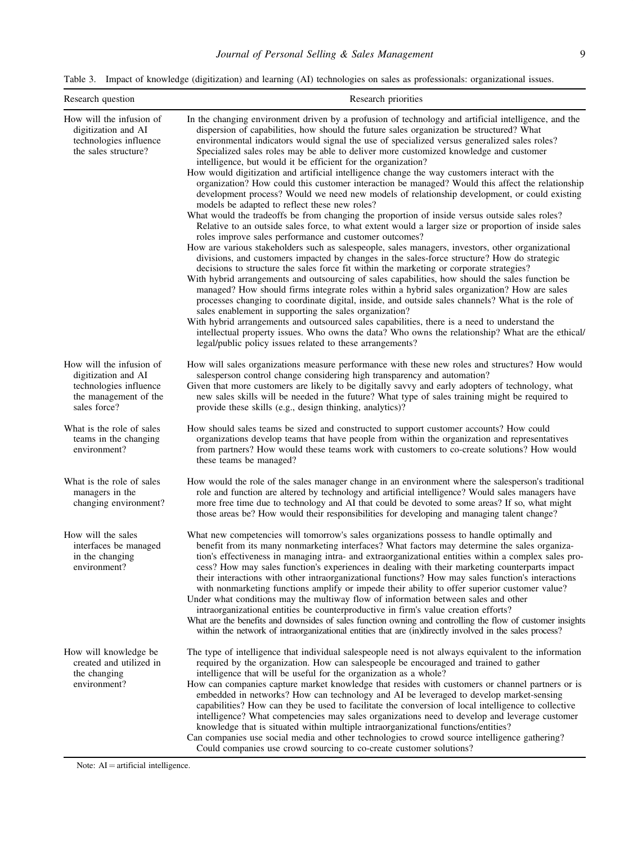Table 3. Impact of knowledge (digitization) and learning (AI) technologies on sales as professionals: organizational issues.

| Research question                                                                                                  | Research priorities                                                                                                                                                                                                                                                                                                                                                                                                                                                                                                                                                                                                                                                                                                                                                                                                                                                                                                                                                                                                                                                                                                                                                                                                                                                                                                                                                                                                                                                                                                                                                                                                                                                                                                                                                                                                                                                                                                                                                                                                       |
|--------------------------------------------------------------------------------------------------------------------|---------------------------------------------------------------------------------------------------------------------------------------------------------------------------------------------------------------------------------------------------------------------------------------------------------------------------------------------------------------------------------------------------------------------------------------------------------------------------------------------------------------------------------------------------------------------------------------------------------------------------------------------------------------------------------------------------------------------------------------------------------------------------------------------------------------------------------------------------------------------------------------------------------------------------------------------------------------------------------------------------------------------------------------------------------------------------------------------------------------------------------------------------------------------------------------------------------------------------------------------------------------------------------------------------------------------------------------------------------------------------------------------------------------------------------------------------------------------------------------------------------------------------------------------------------------------------------------------------------------------------------------------------------------------------------------------------------------------------------------------------------------------------------------------------------------------------------------------------------------------------------------------------------------------------------------------------------------------------------------------------------------------------|
| How will the infusion of<br>digitization and AI<br>technologies influence<br>the sales structure?                  | In the changing environment driven by a profusion of technology and artificial intelligence, and the<br>dispersion of capabilities, how should the future sales organization be structured? What<br>environmental indicators would signal the use of specialized versus generalized sales roles?<br>Specialized sales roles may be able to deliver more customized knowledge and customer<br>intelligence, but would it be efficient for the organization?<br>How would digitization and artificial intelligence change the way customers interact with the<br>organization? How could this customer interaction be managed? Would this affect the relationship<br>development process? Would we need new models of relationship development, or could existing<br>models be adapted to reflect these new roles?<br>What would the tradeoffs be from changing the proportion of inside versus outside sales roles?<br>Relative to an outside sales force, to what extent would a larger size or proportion of inside sales<br>roles improve sales performance and customer outcomes?<br>How are various stakeholders such as salespeople, sales managers, investors, other organizational<br>divisions, and customers impacted by changes in the sales-force structure? How do strategic<br>decisions to structure the sales force fit within the marketing or corporate strategies?<br>With hybrid arrangements and outsourcing of sales capabilities, how should the sales function be<br>managed? How should firms integrate roles within a hybrid sales organization? How are sales<br>processes changing to coordinate digital, inside, and outside sales channels? What is the role of<br>sales enablement in supporting the sales organization?<br>With hybrid arrangements and outsourced sales capabilities, there is a need to understand the<br>intellectual property issues. Who owns the data? Who owns the relationship? What are the ethical/<br>legal/public policy issues related to these arrangements? |
| How will the infusion of<br>digitization and AI<br>technologies influence<br>the management of the<br>sales force? | How will sales organizations measure performance with these new roles and structures? How would<br>salesperson control change considering high transparency and automation?<br>Given that more customers are likely to be digitally savvy and early adopters of technology, what<br>new sales skills will be needed in the future? What type of sales training might be required to<br>provide these skills (e.g., design thinking, analytics)?                                                                                                                                                                                                                                                                                                                                                                                                                                                                                                                                                                                                                                                                                                                                                                                                                                                                                                                                                                                                                                                                                                                                                                                                                                                                                                                                                                                                                                                                                                                                                                           |
| What is the role of sales<br>teams in the changing<br>environment?                                                 | How should sales teams be sized and constructed to support customer accounts? How could<br>organizations develop teams that have people from within the organization and representatives<br>from partners? How would these teams work with customers to co-create solutions? How would<br>these teams be managed?                                                                                                                                                                                                                                                                                                                                                                                                                                                                                                                                                                                                                                                                                                                                                                                                                                                                                                                                                                                                                                                                                                                                                                                                                                                                                                                                                                                                                                                                                                                                                                                                                                                                                                         |
| What is the role of sales<br>managers in the<br>changing environment?                                              | How would the role of the sales manager change in an environment where the salesperson's traditional<br>role and function are altered by technology and artificial intelligence? Would sales managers have<br>more free time due to technology and AI that could be devoted to some areas? If so, what might<br>those areas be? How would their responsibilities for developing and managing talent change?                                                                                                                                                                                                                                                                                                                                                                                                                                                                                                                                                                                                                                                                                                                                                                                                                                                                                                                                                                                                                                                                                                                                                                                                                                                                                                                                                                                                                                                                                                                                                                                                               |
| How will the sales<br>interfaces be managed<br>in the changing<br>environment?                                     | What new competencies will tomorrow's sales organizations possess to handle optimally and<br>benefit from its many nonmarketing interfaces? What factors may determine the sales organiza-<br>tion's effectiveness in managing intra- and extraorganizational entities within a complex sales pro-<br>cess? How may sales function's experiences in dealing with their marketing counterparts impact<br>their interactions with other intraorganizational functions? How may sales function's interactions<br>with nonmarketing functions amplify or impede their ability to offer superior customer value?<br>Under what conditions may the multiway flow of information between sales and other<br>intraorganizational entities be counterproductive in firm's value creation efforts?<br>What are the benefits and downsides of sales function owning and controlling the flow of customer insights<br>within the network of intraorganizational entities that are (in)directly involved in the sales process?                                                                                                                                                                                                                                                                                                                                                                                                                                                                                                                                                                                                                                                                                                                                                                                                                                                                                                                                                                                                         |
| How will knowledge be<br>created and utilized in<br>the changing<br>environment?                                   | The type of intelligence that individual salespeople need is not always equivalent to the information<br>required by the organization. How can salespeople be encouraged and trained to gather<br>intelligence that will be useful for the organization as a whole?<br>How can companies capture market knowledge that resides with customers or channel partners or is<br>embedded in networks? How can technology and AI be leveraged to develop market-sensing<br>capabilities? How can they be used to facilitate the conversion of local intelligence to collective<br>intelligence? What competencies may sales organizations need to develop and leverage customer<br>knowledge that is situated within multiple intraorganizational functions/entities?<br>Can companies use social media and other technologies to crowd source intelligence gathering?<br>Could companies use crowd sourcing to co-create customer solutions?                                                                                                                                                                                                                                                                                                                                                                                                                                                                                                                                                                                                                                                                                                                                                                                                                                                                                                                                                                                                                                                                                   |

Note:  $AI =$  artificial intelligence.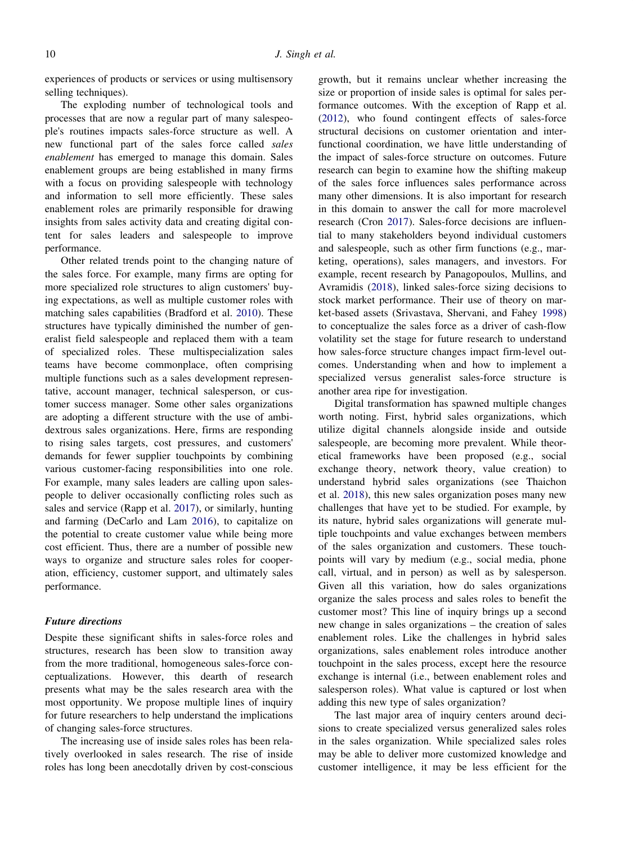<span id="page-10-0"></span>experiences of products or services or using multisensory selling techniques).

The exploding number of technological tools and processes that are now a regular part of many salespeople's routines impacts sales-force structure as well. A new functional part of the sales force called sales enablement has emerged to manage this domain. Sales enablement groups are being established in many firms with a focus on providing salespeople with technology and information to sell more efficiently. These sales enablement roles are primarily responsible for drawing insights from sales activity data and creating digital content for sales leaders and salespeople to improve performance.

Other related trends point to the changing nature of the sales force. For example, many firms are opting for more specialized role structures to align customers' buying expectations, as well as multiple customer roles with matching sales capabilities (Bradford et al. [2010\)](#page-18-0). These structures have typically diminished the number of generalist field salespeople and replaced them with a team of specialized roles. These multispecialization sales teams have become commonplace, often comprising multiple functions such as a sales development representative, account manager, technical salesperson, or customer success manager. Some other sales organizations are adopting a different structure with the use of ambidextrous sales organizations. Here, firms are responding to rising sales targets, cost pressures, and customers' demands for fewer supplier touchpoints by combining various customer-facing responsibilities into one role. For example, many sales leaders are calling upon salespeople to deliver occasionally conflicting roles such as sales and service (Rapp et al. [2017](#page-20-0)), or similarly, hunting and farming (DeCarlo and Lam [2016\)](#page-18-0), to capitalize on the potential to create customer value while being more cost efficient. Thus, there are a number of possible new ways to organize and structure sales roles for cooperation, efficiency, customer support, and ultimately sales performance.

## Future directions

Despite these significant shifts in sales-force roles and structures, research has been slow to transition away from the more traditional, homogeneous sales-force conceptualizations. However, this dearth of research presents what may be the sales research area with the most opportunity. We propose multiple lines of inquiry for future researchers to help understand the implications of changing sales-force structures.

The increasing use of inside sales roles has been relatively overlooked in sales research. The rise of inside roles has long been anecdotally driven by cost-conscious growth, but it remains unclear whether increasing the size or proportion of inside sales is optimal for sales performance outcomes. With the exception of Rapp et al. [\(2012](#page-20-0)), who found contingent effects of sales-force structural decisions on customer orientation and interfunctional coordination, we have little understanding of the impact of sales-force structure on outcomes. Future research can begin to examine how the shifting makeup of the sales force influences sales performance across many other dimensions. It is also important for research in this domain to answer the call for more macrolevel research (Cron [2017\)](#page-18-0). Sales-force decisions are influential to many stakeholders beyond individual customers and salespeople, such as other firm functions (e.g., marketing, operations), sales managers, and investors. For example, recent research by Panagopoulos, Mullins, and Avramidis [\(2018](#page-20-0)), linked sales-force sizing decisions to stock market performance. Their use of theory on market-based assets (Srivastava, Shervani, and Fahey [1998](#page-21-0)) to conceptualize the sales force as a driver of cash-flow volatility set the stage for future research to understand how sales-force structure changes impact firm-level outcomes. Understanding when and how to implement a specialized versus generalist sales-force structure is another area ripe for investigation.

Digital transformation has spawned multiple changes worth noting. First, hybrid sales organizations, which utilize digital channels alongside inside and outside salespeople, are becoming more prevalent. While theoretical frameworks have been proposed (e.g., social exchange theory, network theory, value creation) to understand hybrid sales organizations (see Thaichon et al. [2018](#page-21-0)), this new sales organization poses many new challenges that have yet to be studied. For example, by its nature, hybrid sales organizations will generate multiple touchpoints and value exchanges between members of the sales organization and customers. These touchpoints will vary by medium (e.g., social media, phone call, virtual, and in person) as well as by salesperson. Given all this variation, how do sales organizations organize the sales process and sales roles to benefit the customer most? This line of inquiry brings up a second new change in sales organizations – the creation of sales enablement roles. Like the challenges in hybrid sales organizations, sales enablement roles introduce another touchpoint in the sales process, except here the resource exchange is internal (i.e., between enablement roles and salesperson roles). What value is captured or lost when adding this new type of sales organization?

The last major area of inquiry centers around decisions to create specialized versus generalized sales roles in the sales organization. While specialized sales roles may be able to deliver more customized knowledge and customer intelligence, it may be less efficient for the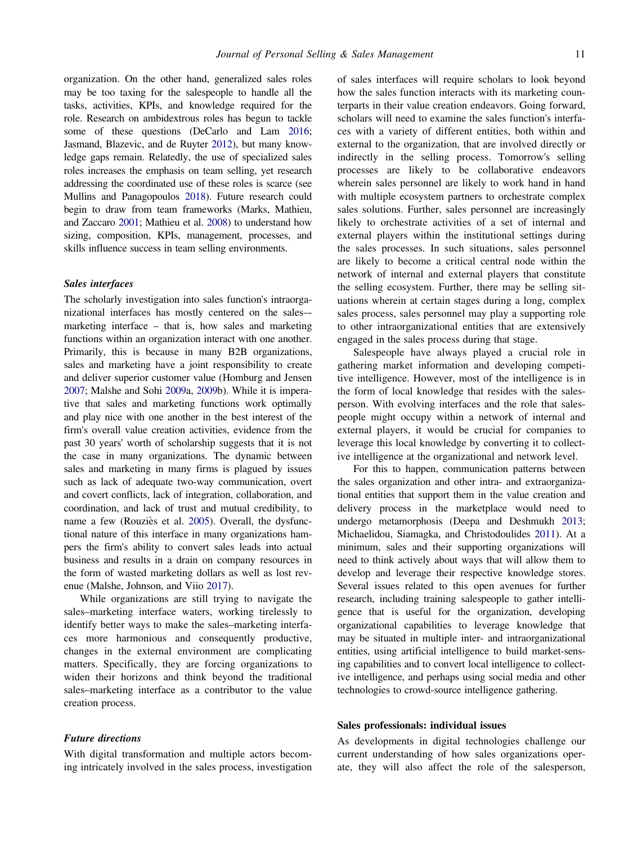<span id="page-11-0"></span>organization. On the other hand, generalized sales roles may be too taxing for the salespeople to handle all the tasks, activities, KPIs, and knowledge required for the role. Research on ambidextrous roles has begun to tackle some of these questions (DeCarlo and Lam [2016](#page-18-0); Jasmand, Blazevic, and de Ruyter [2012\)](#page-19-0), but many knowledge gaps remain. Relatedly, the use of specialized sales roles increases the emphasis on team selling, yet research addressing the coordinated use of these roles is scarce (see Mullins and Panagopoulos [2018](#page-20-0)). Future research could begin to draw from team frameworks (Marks, Mathieu, and Zaccaro [2001;](#page-19-0) Mathieu et al. [2008\)](#page-19-0) to understand how sizing, composition, KPIs, management, processes, and skills influence success in team selling environments.

#### Sales interfaces

The scholarly investigation into sales function's intraorganizational interfaces has mostly centered on the sales– marketing interface – that is, how sales and marketing functions within an organization interact with one another. Primarily, this is because in many B2B organizations, sales and marketing have a joint responsibility to create and deliver superior customer value (Homburg and Jensen [2007;](#page-18-0) Malshe and Sohi [2009a](#page-19-0), [2009](#page-19-0)b). While it is imperative that sales and marketing functions work optimally and play nice with one another in the best interest of the firm's overall value creation activities, evidence from the past 30 years' worth of scholarship suggests that it is not the case in many organizations. The dynamic between sales and marketing in many firms is plagued by issues such as lack of adequate two-way communication, overt and covert conflicts, lack of integration, collaboration, and coordination, and lack of trust and mutual credibility, to name a few (Rouziès et al. [2005\)](#page-20-0). Overall, the dysfunctional nature of this interface in many organizations hampers the firm's ability to convert sales leads into actual business and results in a drain on company resources in the form of wasted marketing dollars as well as lost revenue (Malshe, Johnson, and Viio [2017\)](#page-19-0).

While organizations are still trying to navigate the sales–marketing interface waters, working tirelessly to identify better ways to make the sales–marketing interfaces more harmonious and consequently productive, changes in the external environment are complicating matters. Specifically, they are forcing organizations to widen their horizons and think beyond the traditional sales–marketing interface as a contributor to the value creation process.

## Future directions

With digital transformation and multiple actors becoming intricately involved in the sales process, investigation of sales interfaces will require scholars to look beyond how the sales function interacts with its marketing counterparts in their value creation endeavors. Going forward, scholars will need to examine the sales function's interfaces with a variety of different entities, both within and external to the organization, that are involved directly or indirectly in the selling process. Tomorrow's selling processes are likely to be collaborative endeavors wherein sales personnel are likely to work hand in hand with multiple ecosystem partners to orchestrate complex sales solutions. Further, sales personnel are increasingly likely to orchestrate activities of a set of internal and external players within the institutional settings during the sales processes. In such situations, sales personnel are likely to become a critical central node within the network of internal and external players that constitute the selling ecosystem. Further, there may be selling situations wherein at certain stages during a long, complex sales process, sales personnel may play a supporting role to other intraorganizational entities that are extensively engaged in the sales process during that stage.

Salespeople have always played a crucial role in gathering market information and developing competitive intelligence. However, most of the intelligence is in the form of local knowledge that resides with the salesperson. With evolving interfaces and the role that salespeople might occupy within a network of internal and external players, it would be crucial for companies to leverage this local knowledge by converting it to collective intelligence at the organizational and network level.

For this to happen, communication patterns between the sales organization and other intra- and extraorganizational entities that support them in the value creation and delivery process in the marketplace would need to undergo metamorphosis (Deepa and Deshmukh [2013;](#page-18-0) Michaelidou, Siamagka, and Christodoulides [2011](#page-20-0)). At a minimum, sales and their supporting organizations will need to think actively about ways that will allow them to develop and leverage their respective knowledge stores. Several issues related to this open avenues for further research, including training salespeople to gather intelligence that is useful for the organization, developing organizational capabilities to leverage knowledge that may be situated in multiple inter- and intraorganizational entities, using artificial intelligence to build market-sensing capabilities and to convert local intelligence to collective intelligence, and perhaps using social media and other technologies to crowd-source intelligence gathering.

#### Sales professionals: individual issues

As developments in digital technologies challenge our current understanding of how sales organizations operate, they will also affect the role of the salesperson,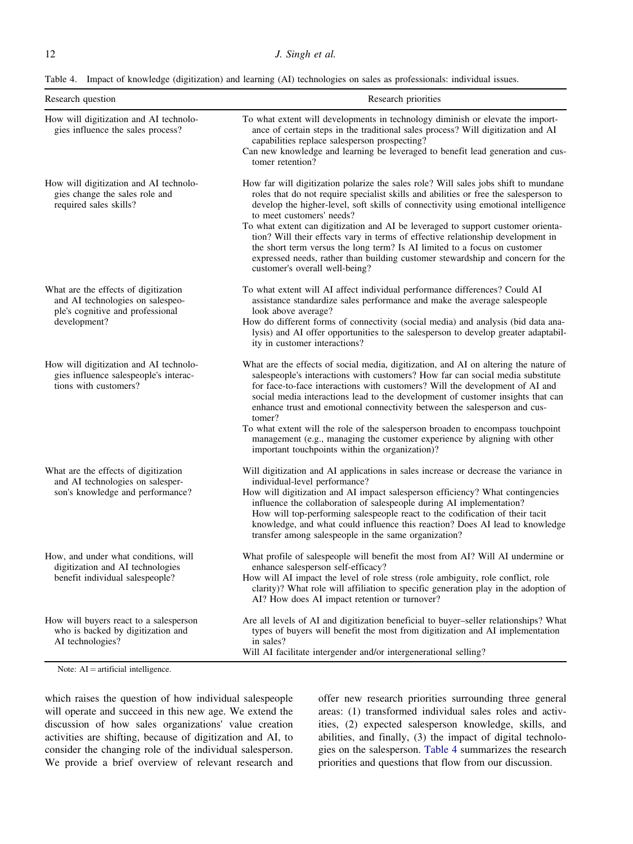Table 4. Impact of knowledge (digitization) and learning (AI) technologies on sales as professionals: individual issues.

| Research question                                                                                                            | Research priorities                                                                                                                                                                                                                                                                                                                                                                                                                                                                                                                                                                                                                                                    |  |
|------------------------------------------------------------------------------------------------------------------------------|------------------------------------------------------------------------------------------------------------------------------------------------------------------------------------------------------------------------------------------------------------------------------------------------------------------------------------------------------------------------------------------------------------------------------------------------------------------------------------------------------------------------------------------------------------------------------------------------------------------------------------------------------------------------|--|
| How will digitization and AI technolo-<br>gies influence the sales process?                                                  | To what extent will developments in technology diminish or elevate the import-<br>ance of certain steps in the traditional sales process? Will digitization and AI<br>capabilities replace salesperson prospecting?<br>Can new knowledge and learning be leveraged to benefit lead generation and cus-<br>tomer retention?                                                                                                                                                                                                                                                                                                                                             |  |
| How will digitization and AI technolo-<br>gies change the sales role and<br>required sales skills?                           | How far will digitization polarize the sales role? Will sales jobs shift to mundane<br>roles that do not require specialist skills and abilities or free the salesperson to<br>develop the higher-level, soft skills of connectivity using emotional intelligence<br>to meet customers' needs?<br>To what extent can digitization and AI be leveraged to support customer orienta-<br>tion? Will their effects vary in terms of effective relationship development in<br>the short term versus the long term? Is AI limited to a focus on customer<br>expressed needs, rather than building customer stewardship and concern for the<br>customer's overall well-being? |  |
| What are the effects of digitization<br>and AI technologies on salespeo-<br>ple's cognitive and professional<br>development? | To what extent will AI affect individual performance differences? Could AI<br>assistance standardize sales performance and make the average salespeople<br>look above average?<br>How do different forms of connectivity (social media) and analysis (bid data ana-<br>lysis) and AI offer opportunities to the salesperson to develop greater adaptabil-<br>ity in customer interactions?                                                                                                                                                                                                                                                                             |  |
| How will digitization and AI technolo-<br>gies influence salespeople's interac-<br>tions with customers?                     | What are the effects of social media, digitization, and AI on altering the nature of<br>salespeople's interactions with customers? How far can social media substitute<br>for face-to-face interactions with customers? Will the development of AI and<br>social media interactions lead to the development of customer insights that can<br>enhance trust and emotional connectivity between the salesperson and cus-<br>tomer?<br>To what extent will the role of the salesperson broaden to encompass touchpoint<br>management (e.g., managing the customer experience by aligning with other<br>important touchpoints within the organization)?                    |  |
| What are the effects of digitization<br>and AI technologies on salesper-<br>son's knowledge and performance?                 | Will digitization and AI applications in sales increase or decrease the variance in<br>individual-level performance?<br>How will digitization and AI impact salesperson efficiency? What contingencies<br>influence the collaboration of salespeople during AI implementation?<br>How will top-performing salespeople react to the codification of their tacit<br>knowledge, and what could influence this reaction? Does AI lead to knowledge<br>transfer among salespeople in the same organization?                                                                                                                                                                 |  |
| How, and under what conditions, will<br>digitization and AI technologies<br>benefit individual salespeople?                  | What profile of salespeople will benefit the most from AI? Will AI undermine or<br>enhance salesperson self-efficacy?<br>How will AI impact the level of role stress (role ambiguity, role conflict, role<br>clarity)? What role will affiliation to specific generation play in the adoption of<br>AI? How does AI impact retention or turnover?                                                                                                                                                                                                                                                                                                                      |  |
| How will buyers react to a salesperson<br>who is backed by digitization and<br>AI technologies?                              | Are all levels of AI and digitization beneficial to buyer-seller relationships? What<br>types of buyers will benefit the most from digitization and AI implementation<br>in sales?<br>Will AI facilitate intergender and/or intergenerational selling?                                                                                                                                                                                                                                                                                                                                                                                                                 |  |

Note:  $AI =$  artificial intelligence.

which raises the question of how individual salespeople will operate and succeed in this new age. We extend the discussion of how sales organizations' value creation activities are shifting, because of digitization and AI, to consider the changing role of the individual salesperson. We provide a brief overview of relevant research and

offer new research priorities surrounding three general areas: (1) transformed individual sales roles and activities, (2) expected salesperson knowledge, skills, and abilities, and finally, (3) the impact of digital technologies on the salesperson. Table 4 summarizes the research priorities and questions that flow from our discussion.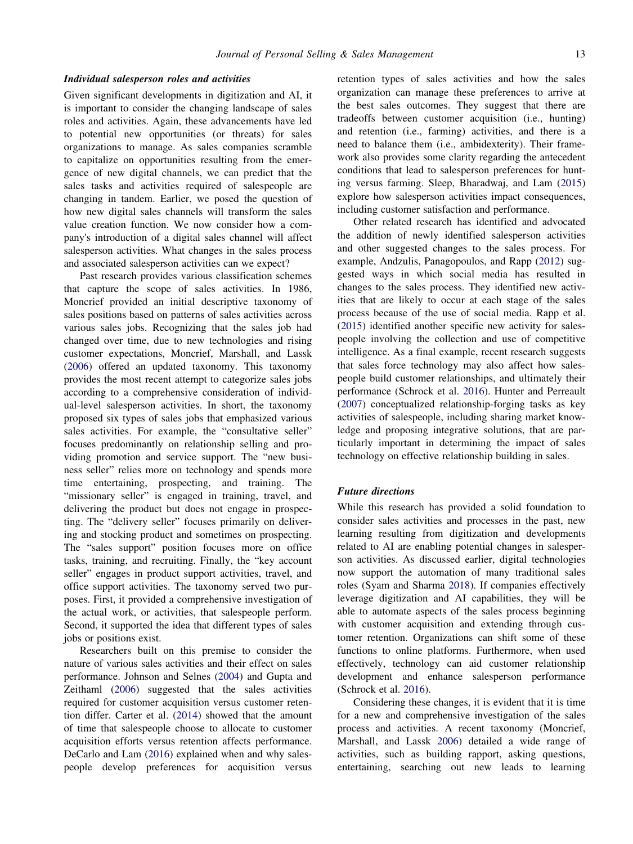## <span id="page-13-0"></span>Individual salesperson roles and activities

Given significant developments in digitization and AI, it is important to consider the changing landscape of sales roles and activities. Again, these advancements have led to potential new opportunities (or threats) for sales organizations to manage. As sales companies scramble to capitalize on opportunities resulting from the emergence of new digital channels, we can predict that the sales tasks and activities required of salespeople are changing in tandem. Earlier, we posed the question of how new digital sales channels will transform the sales value creation function. We now consider how a company's introduction of a digital sales channel will affect salesperson activities. What changes in the sales process and associated salesperson activities can we expect?

Past research provides various classification schemes that capture the scope of sales activities. In 1986, Moncrief provided an initial descriptive taxonomy of sales positions based on patterns of sales activities across various sales jobs. Recognizing that the sales job had changed over time, due to new technologies and rising customer expectations, Moncrief, Marshall, and Lassk [\(2006](#page-20-0)) offered an updated taxonomy. This taxonomy provides the most recent attempt to categorize sales jobs according to a comprehensive consideration of individual-level salesperson activities. In short, the taxonomy proposed six types of sales jobs that emphasized various sales activities. For example, the "consultative seller" focuses predominantly on relationship selling and providing promotion and service support. The "new business seller" relies more on technology and spends more time entertaining, prospecting, and training. The "missionary seller" is engaged in training, travel, and delivering the product but does not engage in prospecting. The "delivery seller" focuses primarily on delivering and stocking product and sometimes on prospecting. The "sales support" position focuses more on office tasks, training, and recruiting. Finally, the "key account seller" engages in product support activities, travel, and office support activities. The taxonomy served two purposes. First, it provided a comprehensive investigation of the actual work, or activities, that salespeople perform. Second, it supported the idea that different types of sales jobs or positions exist.

Researchers built on this premise to consider the nature of various sales activities and their effect on sales performance. Johnson and Selnes ([2004\)](#page-19-0) and Gupta and Zeithaml [\(2006](#page-18-0)) suggested that the sales activities required for customer acquisition versus customer retention differ. Carter et al. ([2014\)](#page-18-0) showed that the amount of time that salespeople choose to allocate to customer acquisition efforts versus retention affects performance. DeCarlo and Lam [\(2016](#page-18-0)) explained when and why salespeople develop preferences for acquisition versus retention types of sales activities and how the sales organization can manage these preferences to arrive at the best sales outcomes. They suggest that there are tradeoffs between customer acquisition (i.e., hunting) and retention (i.e., farming) activities, and there is a need to balance them (i.e., ambidexterity). Their framework also provides some clarity regarding the antecedent conditions that lead to salesperson preferences for hunting versus farming. Sleep, Bharadwaj, and Lam [\(2015](#page-20-0)) explore how salesperson activities impact consequences, including customer satisfaction and performance.

Other related research has identified and advocated the addition of newly identified salesperson activities and other suggested changes to the sales process. For example, Andzulis, Panagopoulos, and Rapp ([2012\)](#page-17-0) suggested ways in which social media has resulted in changes to the sales process. They identified new activities that are likely to occur at each stage of the sales process because of the use of social media. Rapp et al. ([2015\)](#page-20-0) identified another specific new activity for salespeople involving the collection and use of competitive intelligence. As a final example, recent research suggests that sales force technology may also affect how salespeople build customer relationships, and ultimately their performance (Schrock et al. [2016\)](#page-20-0). Hunter and Perreault ([2007\)](#page-19-0) conceptualized relationship-forging tasks as key activities of salespeople, including sharing market knowledge and proposing integrative solutions, that are particularly important in determining the impact of sales technology on effective relationship building in sales.

## Future directions

While this research has provided a solid foundation to consider sales activities and processes in the past, new learning resulting from digitization and developments related to AI are enabling potential changes in salesperson activities. As discussed earlier, digital technologies now support the automation of many traditional sales roles (Syam and Sharma [2018](#page-21-0)). If companies effectively leverage digitization and AI capabilities, they will be able to automate aspects of the sales process beginning with customer acquisition and extending through customer retention. Organizations can shift some of these functions to online platforms. Furthermore, when used effectively, technology can aid customer relationship development and enhance salesperson performance (Schrock et al. [2016\)](#page-20-0).

Considering these changes, it is evident that it is time for a new and comprehensive investigation of the sales process and activities. A recent taxonomy (Moncrief, Marshall, and Lassk [2006](#page-20-0)) detailed a wide range of activities, such as building rapport, asking questions, entertaining, searching out new leads to learning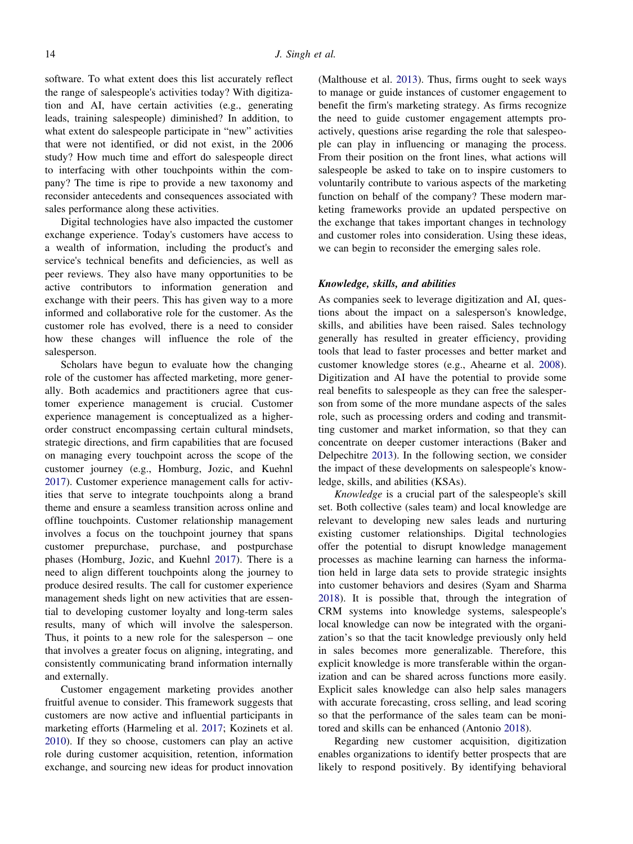<span id="page-14-0"></span>software. To what extent does this list accurately reflect the range of salespeople's activities today? With digitization and AI, have certain activities (e.g., generating leads, training salespeople) diminished? In addition, to what extent do salespeople participate in "new" activities that were not identified, or did not exist, in the 2006 study? How much time and effort do salespeople direct to interfacing with other touchpoints within the company? The time is ripe to provide a new taxonomy and reconsider antecedents and consequences associated with sales performance along these activities.

Digital technologies have also impacted the customer exchange experience. Today's customers have access to a wealth of information, including the product's and service's technical benefits and deficiencies, as well as peer reviews. They also have many opportunities to be active contributors to information generation and exchange with their peers. This has given way to a more informed and collaborative role for the customer. As the customer role has evolved, there is a need to consider how these changes will influence the role of the salesperson.

Scholars have begun to evaluate how the changing role of the customer has affected marketing, more generally. Both academics and practitioners agree that customer experience management is crucial. Customer experience management is conceptualized as a higherorder construct encompassing certain cultural mindsets, strategic directions, and firm capabilities that are focused on managing every touchpoint across the scope of the customer journey (e.g., Homburg, Jozic, and Kuehnl [2017](#page-18-0)). Customer experience management calls for activities that serve to integrate touchpoints along a brand theme and ensure a seamless transition across online and offline touchpoints. Customer relationship management involves a focus on the touchpoint journey that spans customer prepurchase, purchase, and postpurchase phases (Homburg, Jozic, and Kuehnl [2017\)](#page-18-0). There is a need to align different touchpoints along the journey to produce desired results. The call for customer experience management sheds light on new activities that are essential to developing customer loyalty and long-term sales results, many of which will involve the salesperson. Thus, it points to a new role for the salesperson – one that involves a greater focus on aligning, integrating, and consistently communicating brand information internally and externally.

Customer engagement marketing provides another fruitful avenue to consider. This framework suggests that customers are now active and influential participants in marketing efforts (Harmeling et al. [2017](#page-18-0); Kozinets et al. [2010](#page-19-0)). If they so choose, customers can play an active role during customer acquisition, retention, information exchange, and sourcing new ideas for product innovation (Malthouse et al. [2013\)](#page-19-0). Thus, firms ought to seek ways to manage or guide instances of customer engagement to benefit the firm's marketing strategy. As firms recognize the need to guide customer engagement attempts proactively, questions arise regarding the role that salespeople can play in influencing or managing the process. From their position on the front lines, what actions will salespeople be asked to take on to inspire customers to voluntarily contribute to various aspects of the marketing function on behalf of the company? These modern marketing frameworks provide an updated perspective on the exchange that takes important changes in technology and customer roles into consideration. Using these ideas, we can begin to reconsider the emerging sales role.

#### Knowledge, skills, and abilities

As companies seek to leverage digitization and AI, questions about the impact on a salesperson's knowledge, skills, and abilities have been raised. Sales technology generally has resulted in greater efficiency, providing tools that lead to faster processes and better market and customer knowledge stores (e.g., Ahearne et al. [2008\)](#page-17-0). Digitization and AI have the potential to provide some real benefits to salespeople as they can free the salesperson from some of the more mundane aspects of the sales role, such as processing orders and coding and transmitting customer and market information, so that they can concentrate on deeper customer interactions (Baker and Delpechitre [2013\)](#page-17-0). In the following section, we consider the impact of these developments on salespeople's knowledge, skills, and abilities (KSAs).

Knowledge is a crucial part of the salespeople's skill set. Both collective (sales team) and local knowledge are relevant to developing new sales leads and nurturing existing customer relationships. Digital technologies offer the potential to disrupt knowledge management processes as machine learning can harness the information held in large data sets to provide strategic insights into customer behaviors and desires (Syam and Sharma [2018\)](#page-21-0). It is possible that, through the integration of CRM systems into knowledge systems, salespeople's local knowledge can now be integrated with the organization's so that the tacit knowledge previously only held in sales becomes more generalizable. Therefore, this explicit knowledge is more transferable within the organization and can be shared across functions more easily. Explicit sales knowledge can also help sales managers with accurate forecasting, cross selling, and lead scoring so that the performance of the sales team can be monitored and skills can be enhanced (Antonio [2018](#page-17-0)).

Regarding new customer acquisition, digitization enables organizations to identify better prospects that are likely to respond positively. By identifying behavioral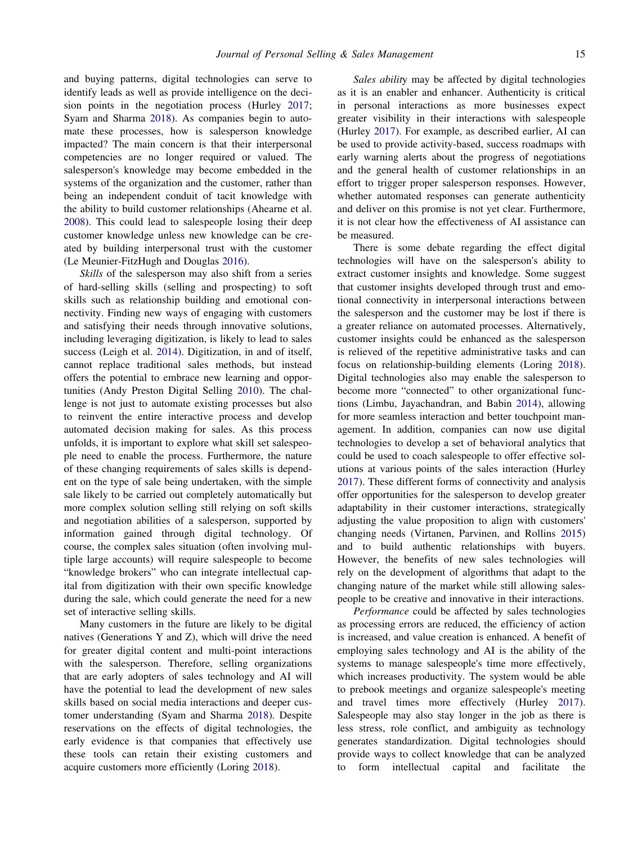<span id="page-15-0"></span>and buying patterns, digital technologies can serve to identify leads as well as provide intelligence on the decision points in the negotiation process (Hurley [2017](#page-19-0); Syam and Sharma [2018\)](#page-21-0). As companies begin to automate these processes, how is salesperson knowledge impacted? The main concern is that their interpersonal competencies are no longer required or valued. The salesperson's knowledge may become embedded in the systems of the organization and the customer, rather than being an independent conduit of tacit knowledge with the ability to build customer relationships (Ahearne et al. [2008\)](#page-17-0). This could lead to salespeople losing their deep customer knowledge unless new knowledge can be created by building interpersonal trust with the customer (Le Meunier-FitzHugh and Douglas [2016\)](#page-19-0).

Skills of the salesperson may also shift from a series of hard-selling skills (selling and prospecting) to soft skills such as relationship building and emotional connectivity. Finding new ways of engaging with customers and satisfying their needs through innovative solutions, including leveraging digitization, is likely to lead to sales success (Leigh et al. [2014\)](#page-19-0). Digitization, in and of itself, cannot replace traditional sales methods, but instead offers the potential to embrace new learning and opportunities (Andy Preston Digital Selling [2010\)](#page-17-0). The challenge is not just to automate existing processes but also to reinvent the entire interactive process and develop automated decision making for sales. As this process unfolds, it is important to explore what skill set salespeople need to enable the process. Furthermore, the nature of these changing requirements of sales skills is dependent on the type of sale being undertaken, with the simple sale likely to be carried out completely automatically but more complex solution selling still relying on soft skills and negotiation abilities of a salesperson, supported by information gained through digital technology. Of course, the complex sales situation (often involving multiple large accounts) will require salespeople to become "knowledge brokers" who can integrate intellectual capital from digitization with their own specific knowledge during the sale, which could generate the need for a new set of interactive selling skills.

Many customers in the future are likely to be digital natives (Generations Y and Z), which will drive the need for greater digital content and multi-point interactions with the salesperson. Therefore, selling organizations that are early adopters of sales technology and AI will have the potential to lead the development of new sales skills based on social media interactions and deeper customer understanding (Syam and Sharma [2018](#page-21-0)). Despite reservations on the effects of digital technologies, the early evidence is that companies that effectively use these tools can retain their existing customers and acquire customers more efficiently (Loring [2018](#page-19-0)).

Sales ability may be affected by digital technologies as it is an enabler and enhancer. Authenticity is critical in personal interactions as more businesses expect greater visibility in their interactions with salespeople (Hurley [2017](#page-19-0)). For example, as described earlier, AI can be used to provide activity-based, success roadmaps with early warning alerts about the progress of negotiations and the general health of customer relationships in an effort to trigger proper salesperson responses. However, whether automated responses can generate authenticity and deliver on this promise is not yet clear. Furthermore, it is not clear how the effectiveness of AI assistance can be measured.

There is some debate regarding the effect digital technologies will have on the salesperson's ability to extract customer insights and knowledge. Some suggest that customer insights developed through trust and emotional connectivity in interpersonal interactions between the salesperson and the customer may be lost if there is a greater reliance on automated processes. Alternatively, customer insights could be enhanced as the salesperson is relieved of the repetitive administrative tasks and can focus on relationship-building elements (Loring [2018\)](#page-19-0). Digital technologies also may enable the salesperson to become more "connected" to other organizational functions (Limbu, Jayachandran, and Babin [2014\)](#page-19-0), allowing for more seamless interaction and better touchpoint management. In addition, companies can now use digital technologies to develop a set of behavioral analytics that could be used to coach salespeople to offer effective solutions at various points of the sales interaction (Hurley [2017\)](#page-19-0). These different forms of connectivity and analysis offer opportunities for the salesperson to develop greater adaptability in their customer interactions, strategically adjusting the value proposition to align with customers' changing needs (Virtanen, Parvinen, and Rollins [2015](#page-21-0)) and to build authentic relationships with buyers. However, the benefits of new sales technologies will rely on the development of algorithms that adapt to the changing nature of the market while still allowing salespeople to be creative and innovative in their interactions.

Performance could be affected by sales technologies as processing errors are reduced, the efficiency of action is increased, and value creation is enhanced. A benefit of employing sales technology and AI is the ability of the systems to manage salespeople's time more effectively, which increases productivity. The system would be able to prebook meetings and organize salespeople's meeting and travel times more effectively (Hurley [2017\)](#page-19-0). Salespeople may also stay longer in the job as there is less stress, role conflict, and ambiguity as technology generates standardization. Digital technologies should provide ways to collect knowledge that can be analyzed to form intellectual capital and facilitate the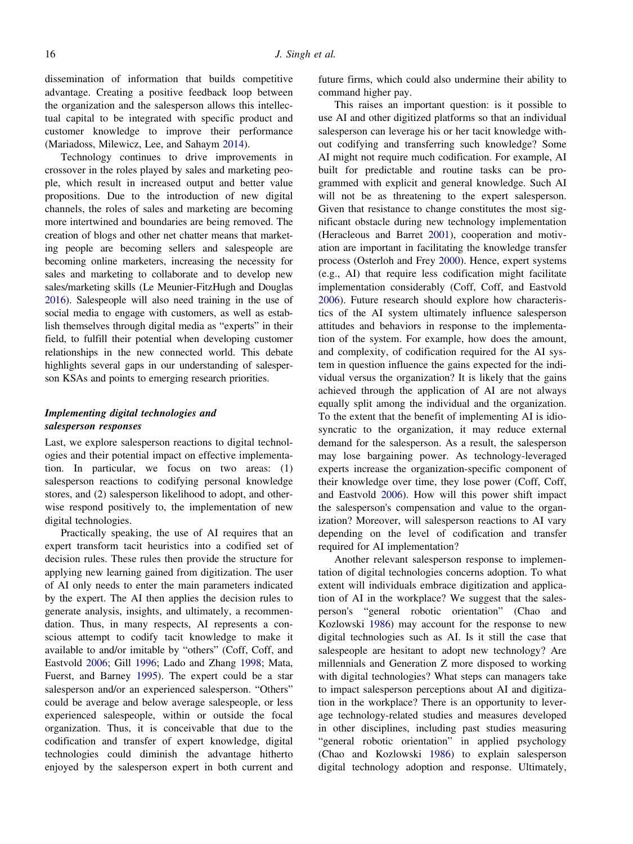<span id="page-16-0"></span>dissemination of information that builds competitive advantage. Creating a positive feedback loop between the organization and the salesperson allows this intellectual capital to be integrated with specific product and customer knowledge to improve their performance (Mariadoss, Milewicz, Lee, and Sahaym [2014\)](#page-19-0).

Technology continues to drive improvements in crossover in the roles played by sales and marketing people, which result in increased output and better value propositions. Due to the introduction of new digital channels, the roles of sales and marketing are becoming more intertwined and boundaries are being removed. The creation of blogs and other net chatter means that marketing people are becoming sellers and salespeople are becoming online marketers, increasing the necessity for sales and marketing to collaborate and to develop new sales/marketing skills (Le Meunier-FitzHugh and Douglas [2016\)](#page-19-0). Salespeople will also need training in the use of social media to engage with customers, as well as establish themselves through digital media as "experts" in their field, to fulfill their potential when developing customer relationships in the new connected world. This debate highlights several gaps in our understanding of salesperson KSAs and points to emerging research priorities.

## Implementing digital technologies and salesperson responses

Last, we explore salesperson reactions to digital technologies and their potential impact on effective implementation. In particular, we focus on two areas: (1) salesperson reactions to codifying personal knowledge stores, and (2) salesperson likelihood to adopt, and otherwise respond positively to, the implementation of new digital technologies.

Practically speaking, the use of AI requires that an expert transform tacit heuristics into a codified set of decision rules. These rules then provide the structure for applying new learning gained from digitization. The user of AI only needs to enter the main parameters indicated by the expert. The AI then applies the decision rules to generate analysis, insights, and ultimately, a recommendation. Thus, in many respects, AI represents a conscious attempt to codify tacit knowledge to make it available to and/or imitable by "others" (Coff, Coff, and Eastvold [2006;](#page-18-0) Gill [1996;](#page-18-0) Lado and Zhang [1998](#page-19-0); Mata, Fuerst, and Barney [1995\)](#page-19-0). The expert could be a star salesperson and/or an experienced salesperson. "Others" could be average and below average salespeople, or less experienced salespeople, within or outside the focal organization. Thus, it is conceivable that due to the codification and transfer of expert knowledge, digital technologies could diminish the advantage hitherto enjoyed by the salesperson expert in both current and future firms, which could also undermine their ability to command higher pay.

This raises an important question: is it possible to use AI and other digitized platforms so that an individual salesperson can leverage his or her tacit knowledge without codifying and transferring such knowledge? Some AI might not require much codification. For example, AI built for predictable and routine tasks can be programmed with explicit and general knowledge. Such AI will not be as threatening to the expert salesperson. Given that resistance to change constitutes the most significant obstacle during new technology implementation (Heracleous and Barret [2001](#page-18-0)), cooperation and motivation are important in facilitating the knowledge transfer process (Osterloh and Frey [2000\)](#page-20-0). Hence, expert systems (e.g., AI) that require less codification might facilitate implementation considerably (Coff, Coff, and Eastvold [2006\)](#page-18-0). Future research should explore how characteristics of the AI system ultimately influence salesperson attitudes and behaviors in response to the implementation of the system. For example, how does the amount, and complexity, of codification required for the AI system in question influence the gains expected for the individual versus the organization? It is likely that the gains achieved through the application of AI are not always equally split among the individual and the organization. To the extent that the benefit of implementing AI is idiosyncratic to the organization, it may reduce external demand for the salesperson. As a result, the salesperson may lose bargaining power. As technology-leveraged experts increase the organization-specific component of their knowledge over time, they lose power (Coff, Coff, and Eastvold [2006\)](#page-18-0). How will this power shift impact the salesperson's compensation and value to the organization? Moreover, will salesperson reactions to AI vary depending on the level of codification and transfer required for AI implementation?

Another relevant salesperson response to implementation of digital technologies concerns adoption. To what extent will individuals embrace digitization and application of AI in the workplace? We suggest that the salesperson's "general robotic orientation" (Chao and Kozlowski [1986](#page-18-0)) may account for the response to new digital technologies such as AI. Is it still the case that salespeople are hesitant to adopt new technology? Are millennials and Generation Z more disposed to working with digital technologies? What steps can managers take to impact salesperson perceptions about AI and digitization in the workplace? There is an opportunity to leverage technology-related studies and measures developed in other disciplines, including past studies measuring "general robotic orientation" in applied psychology (Chao and Kozlowski [1986\)](#page-18-0) to explain salesperson digital technology adoption and response. Ultimately,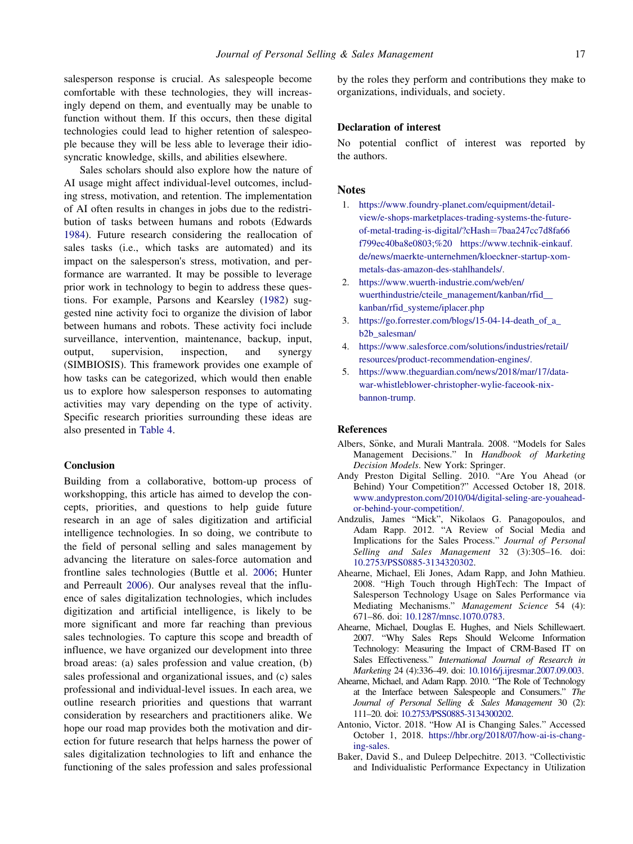<span id="page-17-0"></span>salesperson response is crucial. As salespeople become comfortable with these technologies, they will increasingly depend on them, and eventually may be unable to function without them. If this occurs, then these digital technologies could lead to higher retention of salespeople because they will be less able to leverage their idiosyncratic knowledge, skills, and abilities elsewhere.

Sales scholars should also explore how the nature of AI usage might affect individual-level outcomes, including stress, motivation, and retention. The implementation of AI often results in changes in jobs due to the redistribution of tasks between humans and robots (Edwards [1984\)](#page-18-0). Future research considering the reallocation of sales tasks (i.e., which tasks are automated) and its impact on the salesperson's stress, motivation, and performance are warranted. It may be possible to leverage prior work in technology to begin to address these questions. For example, Parsons and Kearsley [\(1982](#page-20-0)) suggested nine activity foci to organize the division of labor between humans and robots. These activity foci include surveillance, intervention, maintenance, backup, input, output, supervision, inspection, and synergy (SIMBIOSIS). This framework provides one example of how tasks can be categorized, which would then enable us to explore how salesperson responses to automating activities may vary depending on the type of activity. Specific research priorities surrounding these ideas are also presented in Table 4.

## Conclusion

Building from a collaborative, bottom-up process of workshopping, this article has aimed to develop the concepts, priorities, and questions to help guide future research in an age of sales digitization and artificial intelligence technologies. In so doing, we contribute to the field of personal selling and sales management by advancing the literature on sales-force automation and frontline sales technologies (Buttle et al. [2006](#page-18-0); Hunter and Perreault [2006\)](#page-19-0). Our analyses reveal that the influence of sales digitalization technologies, which includes digitization and artificial intelligence, is likely to be more significant and more far reaching than previous sales technologies. To capture this scope and breadth of influence, we have organized our development into three broad areas: (a) sales profession and value creation, (b) sales professional and organizational issues, and (c) sales professional and individual-level issues. In each area, we outline research priorities and questions that warrant consideration by researchers and practitioners alike. We hope our road map provides both the motivation and direction for future research that helps harness the power of sales digitalization technologies to lift and enhance the functioning of the sales profession and sales professional

by the roles they perform and contributions they make to organizations, individuals, and society.

## Declaration of interest

No potential conflict of interest was reported by the authors.

#### Notes

- 1. [https://www.foundry-planet.com/equipment/detail](https://www.foundry-planet.com/equipment/detail-view/e-shops-marketplaces-trading-systems-the-future-of-metal-trading-is-digital/?cHash=7baa247cc7d8fa66f799ec40ba8e0803;%20)[view/e-shops-marketplaces-trading-systems-the-future](https://www.foundry-planet.com/equipment/detail-view/e-shops-marketplaces-trading-systems-the-future-of-metal-trading-is-digital/?cHash=7baa247cc7d8fa66f799ec40ba8e0803;%20)[of-metal-trading-is-digital/?cHash](https://www.foundry-planet.com/equipment/detail-view/e-shops-marketplaces-trading-systems-the-future-of-metal-trading-is-digital/?cHash=7baa247cc7d8fa66f799ec40ba8e0803;%20)=7baa247cc7d8fa66 [f799ec40ba8e0803;%20](https://www.foundry-planet.com/equipment/detail-view/e-shops-marketplaces-trading-systems-the-future-of-metal-trading-is-digital/?cHash=7baa247cc7d8fa66f799ec40ba8e0803;%20) [https://www.technik-einkauf.](https://www.technik-einkauf.de/news/maerkte-unternehmen/kloeckner-startup-xom-metals-das-amazon-des-stahlhandels/) [de/news/maerkte-unternehmen/kloeckner-startup-xom](https://www.technik-einkauf.de/news/maerkte-unternehmen/kloeckner-startup-xom-metals-das-amazon-des-stahlhandels/)[metals-das-amazon-des-stahlhandels/](https://www.technik-einkauf.de/news/maerkte-unternehmen/kloeckner-startup-xom-metals-das-amazon-des-stahlhandels/).
- 2. [https://www.wuerth-industrie.com/web/en/](https://www.wuerth-industrie.com/web/en/wuerthindustrie/cteile_management/kanban/rfid__kanban/rfid_systeme/iplacer.php) [wuerthindustrie/cteile\\_management/kanban/rfid\\_\\_](https://www.wuerth-industrie.com/web/en/wuerthindustrie/cteile_management/kanban/rfid__kanban/rfid_systeme/iplacer.php) [kanban/rfid\\_systeme/iplacer.php](https://www.wuerth-industrie.com/web/en/wuerthindustrie/cteile_management/kanban/rfid__kanban/rfid_systeme/iplacer.php)
- 3. [https://go.forrester.com/blogs/15-04-14-death\\_of\\_a\\_](https://go.forrester.com/blogs/15-04-14-death_of_a_b2b_salesman/) [b2b\\_salesman/](https://go.forrester.com/blogs/15-04-14-death_of_a_b2b_salesman/)
- 4. [https://www.salesforce.com/solutions/industries/retail/](https://www.salesforce.com/solutions/industries/retail/resources/product-recommendation-engines/.) [resources/product-recommendation-engines/.](https://www.salesforce.com/solutions/industries/retail/resources/product-recommendation-engines/.)
- 5. [https://www.theguardian.com/news/2018/mar/17/data](https://www.theguardian.com/news/2018/mar/17/data-war-whistleblower-christopher-wylie-faceook-nix-bannon-trump)[war-whistleblower-christopher-wylie-faceook-nix](https://www.theguardian.com/news/2018/mar/17/data-war-whistleblower-christopher-wylie-faceook-nix-bannon-trump)[bannon-trump.](https://www.theguardian.com/news/2018/mar/17/data-war-whistleblower-christopher-wylie-faceook-nix-bannon-trump)

#### References

- Albers, Sönke, and Murali Mantrala. [2008.](#page-8-0) "Models for Sales Management Decisions." In Handbook of Marketing Decision Models. New York: Springer.
- Andy Preston Digital Selling. [2010](#page-15-0). "Are You Ahead (or Behind) Your Competition?" Accessed October 18, 2018. [www.andypreston.com/2010/04/digital-seling-are-youahead](http://www.andypreston.com/2010/04/digital-seling-are-youahead-or-behind-your-competition/)[or-behind-your-competition/](http://www.andypreston.com/2010/04/digital-seling-are-youahead-or-behind-your-competition/).
- Andzulis, James "Mick", Nikolaos G. Panagopoulos, and Adam Rapp. [2012](#page-13-0). "A Review of Social Media and Implications for the Sales Process." Journal of Personal Selling and Sales Management 32 (3):305–16. doi: [10.2753/PSS0885-3134320302](https://doi.org/10.2753/PSS0885-3134320302).
- Ahearne, Michael, Eli Jones, Adam Rapp, and John Mathieu. [2008.](#page-14-0) "High Touch through HighTech: The Impact of Salesperson Technology Usage on Sales Performance via Mediating Mechanisms." Management Science 54 (4): 671–86. doi: [10.1287/mnsc.1070.0783.](https://doi.org/10.1287/mnsc.1070.0783)
- Ahearne, Michael, Douglas E. Hughes, and Niels Schillewaert. [2007.](#page-2-0) "Why Sales Reps Should Welcome Information Technology: Measuring the Impact of CRM-Based IT on Sales Effectiveness." International Journal of Research in Marketing 24 (4):336–49. doi: [10.1016/j.ijresmar.2007.09.003.](https://doi.org/10.1016/j.ijresmar.2007.09.003)
- Ahearne, Michael, and Adam Rapp. [2010.](#page-6-0) "The Role of Technology at the Interface between Salespeople and Consumers." The Journal of Personal Selling & Sales Management 30 (2): 111–20. doi: [10.2753/PSS0885-3134300202.](https://doi.org/10.2753/PSS0885-3134300202)
- Antonio, Victor. [2018.](#page-14-0) "How AI is Changing Sales." Accessed October 1, 2018. [https://hbr.org/2018/07/how-ai-is-chang](https://hbr.org/2018/07/how-ai-is-changing-sales)[ing-sales.](https://hbr.org/2018/07/how-ai-is-changing-sales)
- Baker, David S., and Duleep Delpechitre. [2013](#page-14-0). "Collectivistic and Individualistic Performance Expectancy in Utilization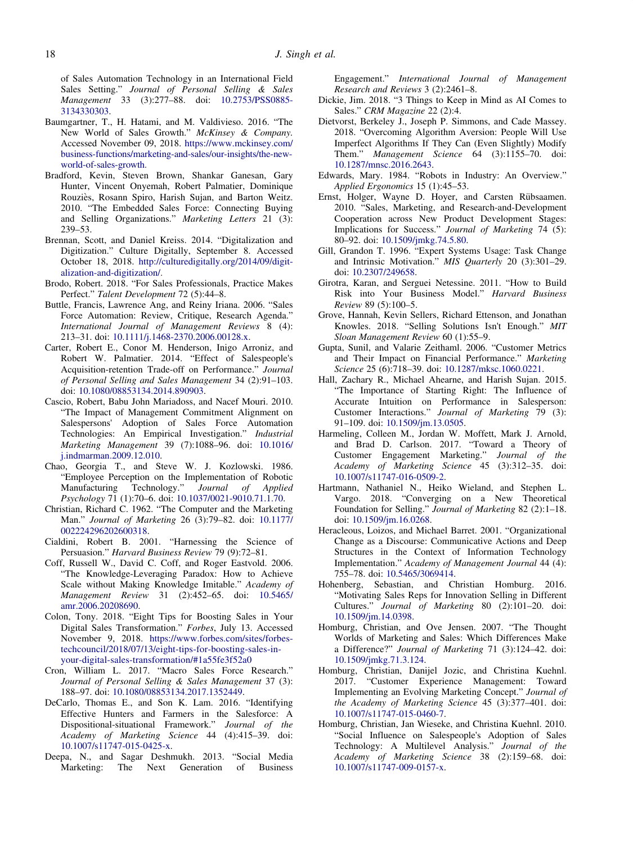<span id="page-18-0"></span>of Sales Automation Technology in an International Field Sales Setting." Journal of Personal Selling & Sales Management 33 (3):277–88. doi: [10.2753/PSS0885-](https://doi.org/10.2753/PSS0885-3134330303) [3134330303](https://doi.org/10.2753/PSS0885-3134330303).

- Baumgartner, T., H. Hatami, and M. Valdivieso. [2016.](#page-1-0) "The New World of Sales Growth." McKinsey & Company. Accessed November 09, 2018. [https://www.mckinsey.com/](https://www.mckinsey.com/business-functions/marketing-and-sales/our-insights/the-new-world-of-sales-growth) [business-functions/marketing-and-sales/our-insights/the-new](https://www.mckinsey.com/business-functions/marketing-and-sales/our-insights/the-new-world-of-sales-growth)[world-of-sales-growth.](https://www.mckinsey.com/business-functions/marketing-and-sales/our-insights/the-new-world-of-sales-growth)
- Bradford, Kevin, Steven Brown, Shankar Ganesan, Gary Hunter, Vincent Onyemah, Robert Palmatier, Dominique Rouziès, Rosann Spiro, Harish Sujan, and Barton Weitz. [2010](#page-10-0). "The Embedded Sales Force: Connecting Buying and Selling Organizations." Marketing Letters 21 (3): 239–53.
- Brennan, Scott, and Daniel Kreiss. [2014.](#page-3-0) "Digitalization and Digitization." Culture Digitally, September 8. Accessed October 18, 2018. [http://culturedigitally.org/2014/09/digit](http://culturedigitally.org/2014/09/digitalization-and-digitization/)[alization-and-digitization/.](http://culturedigitally.org/2014/09/digitalization-and-digitization/)
- Brodo, Robert. [2018](#page-4-0). "For Sales Professionals, Practice Makes Perfect." Talent Development 72 (5):44–8.
- Buttle, Francis, Lawrence Ang, and Reiny Iriana. [2006.](#page-3-0) "Sales Force Automation: Review, Critique, Research Agenda." International Journal of Management Reviews 8 (4): 213–31. doi: [10.1111/j.1468-2370.2006.00128.x](https://doi.org/10.1111/j.1468-2370.2006.00128.x).
- Carter, Robert E., Conor M. Henderson, Inigo Arroniz, and Robert W. Palmatier. [2014](#page-13-0). "Effect of Salespeople's Acquisition-retention Trade-off on Performance." Journal of Personal Selling and Sales Management 34 (2):91–103. doi: [10.1080/08853134.2014.890903](https://doi.org/10.1080/08853134.2014.890903).
- Cascio, Robert, Babu John Mariadoss, and Nacef Mouri. [2010.](#page-3-0) "The Impact of Management Commitment Alignment on Salespersons' Adoption of Sales Force Automation Technologies: An Empirical Investigation." Industrial Marketing Management 39 (7):1088–96. doi: [10.1016/](https://doi.org/10.1016/j.indmarman.2009.12.010) [j.indmarman.2009.12.010](https://doi.org/10.1016/j.indmarman.2009.12.010).
- Chao, Georgia T., and Steve W. J. Kozlowski. [1986.](#page-16-0) "Employee Perception on the Implementation of Robotic Manufacturing Technology." Journal of Applied Psychology 71 (1):70–6. doi: [10.1037/0021-9010.71.1.70.](https://doi.org/10.1037/0021-9010.71.1.70)
- Christian, Richard C. [1962.](#page-3-0) "The Computer and the Marketing Man." Journal of Marketing 26 (3):79–82. doi: [10.1177/](https://doi.org/10.1177/002224296202600318) [002224296202600318](https://doi.org/10.1177/002224296202600318).
- Cialdini, Robert B. [2001.](#page-7-0) "Harnessing the Science of Persuasion." Harvard Business Review 79 (9):72–81.
- Coff, Russell W., David C. Coff, and Roger Eastvold. [2006.](#page-16-0) "The Knowledge-Leveraging Paradox: How to Achieve Scale without Making Knowledge Imitable." Academy of Management Review 31 (2):452–65. doi: [10.5465/](https://doi.org/10.5465/amr.2006.20208690) [amr.2006.20208690.](https://doi.org/10.5465/amr.2006.20208690)
- Colon, Tony. [2018.](#page-4-0) "Eight Tips for Boosting Sales in Your Digital Sales Transformation." Forbes, July 13. Accessed November 9, 2018. [https://www.forbes.com/sites/forbes](https://www.forbes.com/sites/forbestechcouncil/2018/07/13/eight-tips-for-boosting-sales-in-your-digital-sales-transformation/#1a55fe3f52a0)[techcouncil/2018/07/13/eight-tips-for-boosting-sales-in](https://www.forbes.com/sites/forbestechcouncil/2018/07/13/eight-tips-for-boosting-sales-in-your-digital-sales-transformation/#1a55fe3f52a0)[your-digital-sales-transformation/#1a55fe3f52a0](https://www.forbes.com/sites/forbestechcouncil/2018/07/13/eight-tips-for-boosting-sales-in-your-digital-sales-transformation/#1a55fe3f52a0)
- Cron, William L. [2017.](#page-1-0) "Macro Sales Force Research." Journal of Personal Selling & Sales Management 37 (3): 188–97. doi: [10.1080/08853134.2017.1352449.](https://doi.org/10.1080/08853134.2017.1352449)
- DeCarlo, Thomas E., and Son K. Lam. [2016](#page-10-0). "Identifying Effective Hunters and Farmers in the Salesforce: A Dispositional-situational Framework." Journal of the Academy of Marketing Science 44 (4):415–39. doi: [10.1007/s11747-015-0425-x.](https://doi.org/10.1007/s11747-015-0425-x)
- Deepa, N., and Sagar Deshmukh. [2013](#page-11-0). "Social Media Marketing: The Next Generation of Business

Engagement." International Journal of Management Research and Reviews 3 (2):2461–8.

- Dickie, Jim. [2018](#page-4-0). "3 Things to Keep in Mind as AI Comes to Sales." CRM Magazine 22 (2):4.
- Dietvorst, Berkeley J., Joseph P. Simmons, and Cade Massey. [2018.](#page-7-0) "Overcoming Algorithm Aversion: People Will Use Imperfect Algorithms If They Can (Even Slightly) Modify Them." Management Science 64 (3):1155–70. doi: [10.1287/mnsc.2016.2643](https://doi.org/10.1287/mnsc.2016.2643).
- Edwards, Mary. [1984](#page-17-0). "Robots in Industry: An Overview." Applied Ergonomics 15 (1):45–53.
- Ernst, Holger, Wayne D. Hoyer, and Carsten Rübsaamen. [2010.](#page-7-0) "Sales, Marketing, and Research-and-Development Cooperation across New Product Development Stages: Implications for Success." Journal of Marketing 74 (5): 80–92. doi: [10.1509/jmkg.74.5.80](https://doi.org/10.1509/jmkg.74.5.80).
- Gill, Grandon T. [1996](#page-16-0). "Expert Systems Usage: Task Change and Intrinsic Motivation." MIS Quarterly 20 (3):301–29. doi: [10.2307/249658](https://doi.org/10.2307/249658).
- Girotra, Karan, and Serguei Netessine. [2011](#page-7-0). "How to Build Risk into Your Business Model." Harvard Business Review 89 (5):100–5.
- Grove, Hannah, Kevin Sellers, Richard Ettenson, and Jonathan Knowles. [2018.](#page-1-0) "Selling Solutions Isn't Enough." MIT Sloan Management Review 60 (1):55–9.
- Gupta, Sunil, and Valarie Zeithaml. [2006](#page-13-0). "Customer Metrics and Their Impact on Financial Performance." Marketing Science 25 (6):718–39. doi: [10.1287/mksc.1060.0221.](https://doi.org/10.1287/mksc.1060.0221)
- Hall, Zachary R., Michael Ahearne, and Harish Sujan. [2015](#page-7-0). "The Importance of Starting Right: The Influence of Accurate Intuition on Performance in Salesperson: Customer Interactions." Journal of Marketing 79 (3): 91–109. doi: [10.1509/jm.13.0505](https://doi.org/10.1509/jm.13.0505).
- Harmeling, Colleen M., Jordan W. Moffett, Mark J. Arnold, and Brad D. Carlson. [2017.](#page-14-0) "Toward a Theory of Customer Engagement Marketing." Journal of the Academy of Marketing Science 45 (3):312–35. doi: [10.1007/s11747-016-0509-2.](https://doi.org/10.1007/s11747-016-0509-2)
- Hartmann, Nathaniel N., Heiko Wieland, and Stephen L. Vargo. [2018.](#page-8-0) "Converging on a New Theoretical Foundation for Selling." Journal of Marketing 82 (2):1–18. doi: [10.1509/jm.16.0268](https://doi.org/10.1509/jm.16.0268).
- Heracleous, Loizos, and Michael Barret. [2001.](#page-16-0) "Organizational Change as a Discourse: Communicative Actions and Deep Structures in the Context of Information Technology Implementation." Academy of Management Journal 44 (4): 755–78. doi: [10.5465/3069414.](https://doi.org/10.5465/3069414)
- Hohenberg, Sebastian, and Christian Homburg. [2016](#page-7-0). "Motivating Sales Reps for Innovation Selling in Different Cultures." Journal of Marketing 80 (2):101–20. doi: [10.1509/jm.14.0398.](https://doi.org/10.1509/jm.14.0398)
- Homburg, Christian, and Ove Jensen. [2007](#page-11-0). "The Thought Worlds of Marketing and Sales: Which Differences Make a Difference?" Journal of Marketing 71 (3):124–42. doi: [10.1509/jmkg.71.3.124.](https://doi.org/10.1509/jmkg.71.3.124)
- Homburg, Christian, Danijel Jozic, and Christina Kuehnl. [2017.](#page-7-0) "Customer Experience Management: Toward Implementing an Evolving Marketing Concept." Journal of the Academy of Marketing Science 45 (3):377–401. doi: [10.1007/s11747-015-0460-7.](https://doi.org/10.1007/s11747-015-0460-7)
- Homburg, Christian, Jan Wieseke, and Christina Kuehnl. [2010](#page-2-0). "Social Influence on Salespeople's Adoption of Sales Technology: A Multilevel Analysis." Journal of the Academy of Marketing Science 38 (2):159–68. doi: [10.1007/s11747-009-0157-x.](https://doi.org/10.1007/s11747-009-0157-x)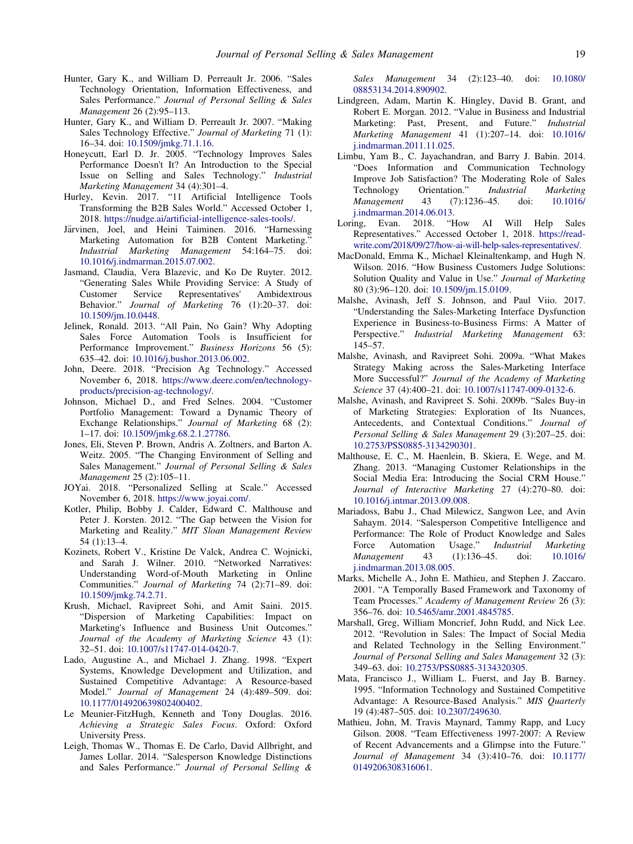- <span id="page-19-0"></span>Hunter, Gary K., and William D. Perreault Jr. [2006](#page-17-0). "Sales Technology Orientation, Information Effectiveness, and Sales Performance." Journal of Personal Selling & Sales Management 26 (2):95–113.
- Hunter, Gary K., and William D. Perreault Jr. [2007](#page-2-0). "Making Sales Technology Effective." Journal of Marketing 71 (1): 16–34. doi: [10.1509/jmkg.71.1.16.](https://doi.org/10.1509/jmkg.71.1.16)
- Honeycutt, Earl D. Jr. [2005](#page-3-0). "Technology Improves Sales Performance Doesn't It? An Introduction to the Special Issue on Selling and Sales Technology." Industrial Marketing Management 34 (4):301–4.
- Hurley, Kevin. [2017.](#page-15-0) "11 Artificial Intelligence Tools Transforming the B2B Sales World." Accessed October 1, 2018. <https://nudge.ai/artificial-intelligence-sales-tools/>.
- Järvinen, Joel, and Heini Taiminen. [2016.](#page-6-0) "Harnessing Marketing Automation for B2B Content Marketing.' Industrial Marketing Management 54:164–75. doi: [10.1016/j.indmarman.2015.07.002.](https://doi.org/10.1016/j.indmarman.2015.07.002)
- Jasmand, Claudia, Vera Blazevic, and Ko De Ruyter. [2012.](#page-11-0) "Generating Sales While Providing Service: A Study of Customer Service Representatives' Ambidextrous Behavior." Journal of Marketing 76 (1):20–37. doi: [10.1509/jm.10.0448.](https://doi.org/10.1509/jm.10.0448)
- Jelinek, Ronald. [2013.](#page-3-0) "All Pain, No Gain? Why Adopting Sales Force Automation Tools is Insufficient for Performance Improvement." Business Horizons 56 (5): 635–42. doi: [10.1016/j.bushor.2013.06.002.](https://doi.org/10.1016/j.bushor.2013.06.002)
- John, Deere. [2018.](#page-7-0) "Precision Ag Technology." Accessed November 6, 2018. [https://www.deere.com/en/technology](https://www.deere.com/en/technology-products/precision-ag-technology/)[products/precision-ag-technology/](https://www.deere.com/en/technology-products/precision-ag-technology/).
- Johnson, Michael D., and Fred Selnes. [2004.](#page-13-0) "Customer Portfolio Management: Toward a Dynamic Theory of Exchange Relationships." Journal of Marketing 68 (2): 1–17. doi: [10.1509/jmkg.68.2.1.27786](https://doi.org/10.1509/jmkg.68.2.1.27786).
- Jones, Eli, Steven P. Brown, Andris A. Zoltners, and Barton A. Weitz. [2005.](#page-8-0) "The Changing Environment of Selling and Sales Management." Journal of Personal Selling & Sales Management 25 (2):105–11.
- JOYai. [2018.](#page-6-0) "Personalized Selling at Scale." Accessed November 6, 2018. <https://www.joyai.com/>.
- Kotler, Philip, Bobby J. Calder, Edward C. Malthouse and Peter J. Korsten. [2012](#page-5-0). "The Gap between the Vision for Marketing and Reality." MIT Sloan Management Review 54 (1):13–4.
- Kozinets, Robert V., Kristine De Valck, Andrea C. Wojnicki, and Sarah J. Wilner. [2010.](#page-14-0) "Networked Narratives: Understanding Word-of-Mouth Marketing in Online Communities." Journal of Marketing 74 (2):71-89. doi: [10.1509/jmkg.74.2.71](https://doi.org/10.1509/jmkg.74.2.71).
- Krush, Michael, Ravipreet Sohi, and Amit Saini. [2015.](#page-7-0) "Dispersion of Marketing Capabilities: Impact on Marketing's Influence and Business Unit Outcomes." Journal of the Academy of Marketing Science 43 (1): 32–51. doi: [10.1007/s11747-014-0420-7.](https://doi.org/10.1007/s11747-014-0420-7)
- Lado, Augustine A., and Michael J. Zhang. [1998](#page-16-0). "Expert Systems, Knowledge Development and Utilization, and Sustained Competitive Advantage: A Resource-based Model." Journal of Management 24 (4):489–509. doi: [10.1177/014920639802400402.](https://doi.org/10.1177/014920639802400402)
- Le Meunier-FitzHugh, Kenneth and Tony Douglas. [2016.](#page-15-0) Achieving a Strategic Sales Focus. Oxford: Oxford University Press.
- Leigh, Thomas W., Thomas E. De Carlo, David Allbright, and James Lollar. [2014.](#page-15-0) "Salesperson Knowledge Distinctions and Sales Performance." Journal of Personal Selling &

Sales Management 34 (2):123–40. doi: [10.1080/](https://doi.org/10.1080/08853134.2014.890902) [08853134.2014.890902](https://doi.org/10.1080/08853134.2014.890902).

- Lindgreen, Adam, Martin K. Hingley, David B. Grant, and Robert E. Morgan. [2012](#page-7-0). "Value in Business and Industrial Marketing: Past, Present, and Future." Industrial Marketing Management 41 (1):207–14. doi: [10.1016/](https://doi.org/10.1016/j.indmarman.2011.11.025) [j.indmarman.2011.11.025.](https://doi.org/10.1016/j.indmarman.2011.11.025)
- Limbu, Yam B., C. Jayachandran, and Barry J. Babin. [2014](#page-15-0). "Does Information and Communication Technology Improve Job Satisfaction? The Moderating Role of Sales Technology Orientation." Industrial Marketing Management 43 (7):1236–45. doi: [10.1016/](https://doi.org/10.1016/j.indmarman.2014.06.013) [j.indmarman.2014.06.013.](https://doi.org/10.1016/j.indmarman.2014.06.013)
- Loring, Evan. [2018](#page-15-0). "How AI Will Help Sales Representatives." Accessed October 1, 2018. [https://read](https://readwrite.com/2018/09/27/how-ai-will-help-sales-representatives/)[write.com/2018/09/27/how-ai-will-help-sales-representatives/.](https://readwrite.com/2018/09/27/how-ai-will-help-sales-representatives/)
- MacDonald, Emma K., Michael Kleinaltenkamp, and Hugh N. Wilson. [2016](#page-7-0). "How Business Customers Judge Solutions: Solution Quality and Value in Use." Journal of Marketing 80 (3):96–120. doi: [10.1509/jm.15.0109.](https://doi.org/10.1509/jm.15.0109)
- Malshe, Avinash, Jeff S. Johnson, and Paul Viio. [2017](#page-11-0). "Understanding the Sales-Marketing Interface Dysfunction Experience in Business-to-Business Firms: A Matter of Perspective." Industrial Marketing Management 63: 145–57.
- Malshe, Avinash, and Ravipreet Sohi. [2009a](#page-11-0). "What Makes Strategy Making across the Sales-Marketing Interface More Successful?" Journal of the Academy of Marketing Science 37 (4):400–21. doi: [10.1007/s11747-009-0132-6.](https://doi.org/10.1007/s11747-009-0132-6)
- Malshe, Avinash, and Ravipreet S. Sohi. 2009b. "Sales Buy-in of Marketing Strategies: Exploration of Its Nuances, Antecedents, and Contextual Conditions." Journal of Personal Selling & Sales Management 29 (3):207–25. doi: [10.2753/PSS0885-3134290301](https://doi.org/10.2753/PSS0885-3134290301).
- Malthouse, E. C., M. Haenlein, B. Skiera, E. Wege, and M. Zhang. [2013.](#page-14-0) "Managing Customer Relationships in the Social Media Era: Introducing the Social CRM House." Journal of Interactive Marketing 27 (4):270–80. doi: [10.1016/j.intmar.2013.09.008.](https://doi.org/10.1016/j.intmar.2013.09.008)
- Mariadoss, Babu J., Chad Milewicz, Sangwon Lee, and Avin Sahaym. [2014.](#page-16-0) "Salesperson Competitive Intelligence and Performance: The Role of Product Knowledge and Sales Force Automation Usage." Industrial Marketing Management 43 (1):136–45. doi: [10.1016/](https://doi.org/10.1016/j.indmarman.2013.08.005) [j.indmarman.2013.08.005.](https://doi.org/10.1016/j.indmarman.2013.08.005)
- Marks, Michelle A., John E. Mathieu, and Stephen J. Zaccaro. [2001.](#page-11-0) "A Temporally Based Framework and Taxonomy of Team Processes." Academy of Management Review 26 (3): 356–76. doi: [10.5465/amr.2001.4845785](https://doi.org/10.5465/amr.2001.4845785).
- Marshall, Greg, William Moncrief, John Rudd, and Nick Lee. [2012.](#page-1-0) "Revolution in Sales: The Impact of Social Media and Related Technology in the Selling Environment." Journal of Personal Selling and Sales Management 32 (3): 349–63. doi: [10.2753/PSS0885-3134320305](https://doi.org/10.2753/PSS0885-3134320305).
- Mata, Francisco J., William L. Fuerst, and Jay B. Barney. [1995.](#page-16-0) "Information Technology and Sustained Competitive Advantage: A Resource-Based Analysis." MIS Quarterly 19 (4):487–505. doi: [10.2307/249630](https://doi.org/10.2307/249630).
- Mathieu, John, M. Travis Maynard, Tammy Rapp, and Lucy Gilson. [2008.](#page-11-0) "Team Effectiveness 1997-2007: A Review of Recent Advancements and a Glimpse into the Future." Journal of Management 34 (3):410–76. doi: [10.1177/](https://doi.org/10.1177/0149206308316061) [0149206308316061.](https://doi.org/10.1177/0149206308316061)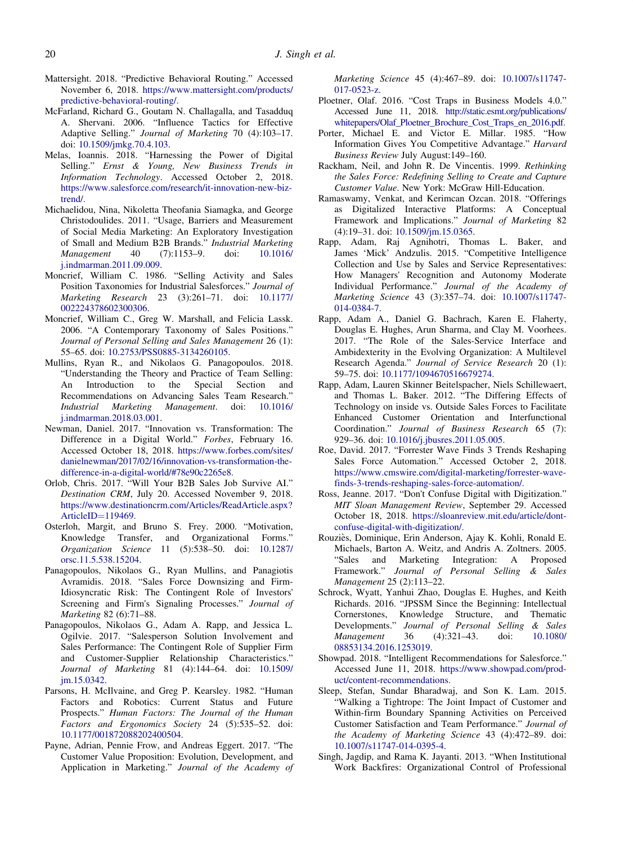- <span id="page-20-0"></span>Mattersight. [2018.](#page-6-0) "Predictive Behavioral Routing." Accessed November 6, 2018. [https://www.mattersight.com/products/](https://www.mattersight.com/products/predictive-behavioral-routing/) [predictive-behavioral-routing/.](https://www.mattersight.com/products/predictive-behavioral-routing/)
- McFarland, Richard G., Goutam N. Challagalla, and Tasadduq A. Shervani. [2006.](#page-7-0) "Influence Tactics for Effective Adaptive Selling." Journal of Marketing 70 (4):103-17. doi: [10.1509/jmkg.70.4.103.](https://doi.org/10.1509/jmkg.70.4.103)
- Melas, Ioannis. [2018.](#page-4-0) "Harnessing the Power of Digital Selling." Ernst & Young, New Business Trends in Information Technology. Accessed October 2, 2018. [https://www.salesforce.com/research/it-innovation-new-biz](https://www.salesforce.com/research/it-innovation-new-biz-trend/)[trend/](https://www.salesforce.com/research/it-innovation-new-biz-trend/).
- Michaelidou, Nina, Nikoletta Theofania Siamagka, and George Christodoulides. [2011](#page-11-0). "Usage, Barriers and Measurement of Social Media Marketing: An Exploratory Investigation of Small and Medium B2B Brands." *Industrial Marketing*<br> *Management* 40 (7):1153-9. doi: 10.1016/ Management 40 (7):1153–9. doi: [10.1016/](https://doi.org/10.1016/j.indmarman.2011.09.009) [j.indmarman.2011.09.009](https://doi.org/10.1016/j.indmarman.2011.09.009).
- Moncrief, William C. 1986. "Selling Activity and Sales Position Taxonomies for Industrial Salesforces." Journal of Marketing Research 23 (3):261–71. doi: [10.1177/](https://doi.org/10.1177/002224378602300306) [002224378602300306](https://doi.org/10.1177/002224378602300306).
- Moncrief, William C., Greg W. Marshall, and Felicia Lassk. [2006](#page-13-0). "A Contemporary Taxonomy of Sales Positions." Journal of Personal Selling and Sales Management 26 (1): 55–65. doi: [10.2753/PSS0885-3134260105](https://doi.org/10.2753/PSS0885-3134260105).
- Mullins, Ryan R., and Nikolaos G. Panagopoulos. [2018.](#page-11-0) "Understanding the Theory and Practice of Team Selling: An Introduction to the Special Section and Recommendations on Advancing Sales Team Research." Industrial Marketing Management. doi: [10.1016/](https://doi.org/10.1016/j.indmarman.2018.03.001) [j.indmarman.2018.03.001](https://doi.org/10.1016/j.indmarman.2018.03.001).
- Newman, Daniel. [2017.](#page-3-0) "Innovation vs. Transformation: The Difference in a Digital World." Forbes, February 16. Accessed October 18, 2018. [https://www.forbes.com/sites/](https://www.forbes.com/sites/danielnewman/2017/02/16/innovation-vs-transformation-the-difference-in-a-digital-world/#78e90c2265e8) [danielnewman/2017/02/16/innovation-vs-transformation-the](https://www.forbes.com/sites/danielnewman/2017/02/16/innovation-vs-transformation-the-difference-in-a-digital-world/#78e90c2265e8)[difference-in-a-digital-world/#78e90c2265e8.](https://www.forbes.com/sites/danielnewman/2017/02/16/innovation-vs-transformation-the-difference-in-a-digital-world/#78e90c2265e8)
- Orlob, Chris. [2017](#page-1-0). "Will Your B2B Sales Job Survive AI." Destination CRM, July 20. Accessed November 9, 2018. [https://www.destinationcrm.com/Articles/ReadArticle.aspx?](https://www.destinationcrm.com/Articles/ReadArticle.aspx?ArticleID=119469) [ArticleID](https://www.destinationcrm.com/Articles/ReadArticle.aspx?ArticleID=119469)=119469.
- Osterloh, Margit, and Bruno S. Frey. [2000](#page-16-0). "Motivation, Knowledge Transfer, and Organizational Forms." Organization Science 11 (5):538–50. doi: [10.1287/](https://doi.org/10.1287/orsc.11.5.538.15204) [orsc.11.5.538.15204.](https://doi.org/10.1287/orsc.11.5.538.15204)
- Panagopoulos, Nikolaos G., Ryan Mullins, and Panagiotis Avramidis. [2018](#page-10-0). "Sales Force Downsizing and Firm-Idiosyncratic Risk: The Contingent Role of Investors' Screening and Firm's Signaling Processes." Journal of Marketing 82 (6):71–88.
- Panagopoulos, Nikolaos G., Adam A. Rapp, and Jessica L. Ogilvie. [2017.](#page-7-0) "Salesperson Solution Involvement and Sales Performance: The Contingent Role of Supplier Firm and Customer-Supplier Relationship Characteristics." Journal of Marketing 81 (4):144–64. doi: [10.1509/](https://doi.org/10.1509/jm.15.0342) [jm.15.0342](https://doi.org/10.1509/jm.15.0342).
- Parsons, H. McIlvaine, and Greg P. Kearsley. [1982](#page-17-0). "Human Factors and Robotics: Current Status and Future Prospects." Human Factors: The Journal of the Human Factors and Ergonomics Society 24 (5):535–52. doi: [10.1177/001872088202400504.](https://doi.org/10.1177/001872088202400504)
- Payne, Adrian, Pennie Frow, and Andreas Eggert. [2017](#page-7-0). "The Customer Value Proposition: Evolution, Development, and Application in Marketing." Journal of the Academy of

Marketing Science 45 (4):467–89. doi: [10.1007/s11747-](https://doi.org/10.1007/s11747-017-0523-z) [017-0523-z](https://doi.org/10.1007/s11747-017-0523-z).

- Ploetner, Olaf. [2016.](#page-7-0) "Cost Traps in Business Models 4.0." Accessed June 11, 2018. [http://static.esmt.org/publications/](http://static.esmt.org/publications/whitepapers/Olaf_Ploetner_Brochure_Cost_Traps_en_2016.pdf) [whitepapers/Olaf\\_Ploetner\\_Brochure\\_Cost\\_Traps\\_en\\_2016.pdf.](http://static.esmt.org/publications/whitepapers/Olaf_Ploetner_Brochure_Cost_Traps_en_2016.pdf)
- Porter, Michael E. and Victor E. Millar. [1985](#page-7-0). "How Information Gives You Competitive Advantage." Harvard Business Review July August:149–160.
- Rackham, Neil, and John R. De Vincentis. [1999](#page-5-0). Rethinking the Sales Force: Redefining Selling to Create and Capture Customer Value. New York: McGraw Hill-Education.
- Ramaswamy, Venkat, and Kerimcan Ozcan. [2018.](#page-2-0) "Offerings as Digitalized Interactive Platforms: A Conceptual Framework and Implications." Journal of Marketing 82 (4):19–31. doi: [10.1509/jm.15.0365.](https://doi.org/10.1509/jm.15.0365)
- Rapp, Adam, Raj Agnihotri, Thomas L. Baker, and James 'Mick' Andzulis. [2015](#page-13-0). "Competitive Intelligence Collection and Use by Sales and Service Representatives: How Managers' Recognition and Autonomy Moderate Individual Performance." Journal of the Academy of Marketing Science 43 (3):357–74. doi: [10.1007/s11747-](https://doi.org/10.1007/s11747-014-0384-7) [014-0384-7.](https://doi.org/10.1007/s11747-014-0384-7)
- Rapp, Adam A., Daniel G. Bachrach, Karen E. Flaherty, Douglas E. Hughes, Arun Sharma, and Clay M. Voorhees. [2017.](#page-10-0) "The Role of the Sales-Service Interface and Ambidexterity in the Evolving Organization: A Multilevel Research Agenda." Journal of Service Research 20 (1): 59–75. doi: [10.1177/1094670516679274.](https://doi.org/10.1177/1094670516679274)
- Rapp, Adam, Lauren Skinner Beitelspacher, Niels Schillewaert, and Thomas L. Baker. [2012](#page-8-0). "The Differing Effects of Technology on inside vs. Outside Sales Forces to Facilitate Enhanced Customer Orientation and Interfunctional Coordination." Journal of Business Research 65 (7): 929–36. doi: [10.1016/j.jbusres.2011.05.005.](https://doi.org/10.1016/j.jbusres.2011.05.005)
- Roe, David. [2017](#page-4-0). "Forrester Wave Finds 3 Trends Reshaping Sales Force Automation." Accessed October 2, 2018. [https://www.cmswire.com/digital-marketing/forrester-wave](https://www.cmswire.com/digital-marketing/forrester-wave-finds-3-trends-reshaping-sales-force-automation/)[finds-3-trends-reshaping-sales-force-automation/.](https://www.cmswire.com/digital-marketing/forrester-wave-finds-3-trends-reshaping-sales-force-automation/)
- Ross, Jeanne. [2017.](#page-3-0) "Don't Confuse Digital with Digitization." MIT Sloan Management Review, September 29. Accessed October 18, 2018. [https://sloanreview.mit.edu/article/dont](https://sloanreview.mit.edu/article/dont-confuse-digital-with-digitization/)[confuse-digital-with-digitization/](https://sloanreview.mit.edu/article/dont-confuse-digital-with-digitization/).
- Rouziès, Dominique, Erin Anderson, Ajay K. Kohli, Ronald E. Michaels, Barton A. Weitz, and Andris A. Zoltners. [2005](#page-11-0). "Sales and Marketing Integration: A Proposed Framework." Journal of Personal Selling & Sales Management 25 (2):113–22.
- Schrock, Wyatt, Yanhui Zhao, Douglas E. Hughes, and Keith Richards. [2016.](#page-13-0) "JPSSM Since the Beginning: Intellectual Cornerstones, Knowledge Structure, and Thematic Developments." Journal of Personal Selling & Sales Management 36 (4):321–43. doi: [10.1080/](https://doi.org/10.1080/08853134.2016.1253019) [08853134.2016.1253019.](https://doi.org/10.1080/08853134.2016.1253019)
- Showpad. [2018](#page-6-0). "Intelligent Recommendations for Salesforce." Accessed June 11, 2018. [https://www.showpad.com/prod](https://www.showpad.com/product/content-recommendations)[uct/content-recommendations.](https://www.showpad.com/product/content-recommendations)
- Sleep, Stefan, Sundar Bharadwaj, and Son K. Lam. [2015](#page-13-0). "Walking a Tightrope: The Joint Impact of Customer and Within-firm Boundary Spanning Activities on Perceived Customer Satisfaction and Team Performance." Journal of the Academy of Marketing Science 43 (4):472–89. doi: [10.1007/s11747-014-0395-4.](https://doi.org/10.1007/s11747-014-0395-4)
- Singh, Jagdip, and Rama K. Jayanti. [2013](#page-2-0). "When Institutional Work Backfires: Organizational Control of Professional